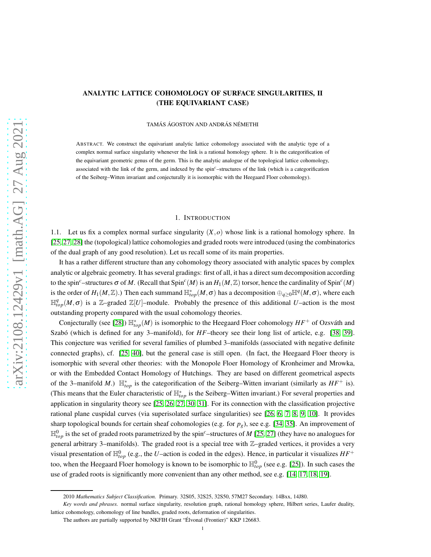# ANALYTIC LATTICE COHOMOLOGY OF SURFACE SINGULARITIES, II (THE EQUIVARIANT CASE)

TAMÁS ÁGOSTON AND ANDRÁS NÉMETHI

ABSTRACT. We construct the equivariant analytic lattice cohomology associated with the analytic type of a complex normal surface singularity whenever the link is a rational homology sphere. It is the categorification of the equivariant geometric genus of the germ. This is the analytic analogue of the topological lattice cohomology, associated with the link of the germ, and indexed by the spin*c*–structures of the link (which is a categorification of the Seiberg–Witten invariant and conjecturally it is isomorphic with the Heegaard Floer cohomology).

### 1. INTRODUCTION

1.1. Let us fix a complex normal surface singularity  $(X, o)$  whose link is a rational homology sphere. In [\[25,](#page-22-0) [27,](#page-22-1) [28\]](#page-22-2) the (topological) lattice cohomologies and graded roots were introduced (using the combinatorics of the dual graph of any good resolution). Let us recall some of its main properties.

It has a rather different structure than any cohomology theory associated with analytic spaces by complex analytic or algebraic geometry. It has several gradings: first of all, it has a direct sum decomposition according to the spin<sup>c</sup>–structures  $\sigma$  of M. (Recall that  $Spin^c(M)$  is an  $H_1(M,\mathbb{Z})$  torsor, hence the cardinality of  $Spin^c(M)$ is the order of  $H_1(M,\mathbb{Z})$ .) Then each summand  $\mathbb{H}_{top}^*(M,\sigma)$  has a decomposition  $\oplus_{q\geq 0} \mathbb{H}^q(M,\sigma)$ , where each  $\mathbb{H}^q_{top}(M,\sigma)$  is a Z-graded Z[U]-module. Probably the presence of this additional U-action is the most outstanding property compared with the usual cohomology theories.

Conjecturally (see [\[28\]](#page-22-2))  $\mathbb{H}_{top}^*(M)$  is isomorphic to the Heegaard Floer cohomology  $HF^+$  of Ozsváth and Szabó (which is defined for any 3–manifold), for *HF*–theory see their long list of article, e.g. [\[38,](#page-22-3) [39\]](#page-22-4). This conjecture was verified for several families of plumbed 3–manifolds (associated with negative definite connected graphs), cf. [\[25,](#page-22-0) [40\]](#page-22-5), but the general case is still open. (In fact, the Heegaard Floer theory is isomorphic with several other theories: with the Monopole Floer Homology of Kronheimer and Mrowka, or with the Embedded Contact Homology of Hutchings. They are based on different geometrical aspects of the 3–manifold *M*.)  $\mathbb{H}_{top}^*$  is the categorification of the Seiberg–Witten invariant (similarly as  $HF^+$  is). (This means that the Euler characteristic of  $\mathbb{H}_{top}^*$  is the Seiberg–Witten invariant.) For several properties and application in singularity theory see [\[25,](#page-22-0) [26,](#page-22-6) [27,](#page-22-1) [30,](#page-22-7) [31\]](#page-22-8). For its connection with the classification projective rational plane cuspidal curves (via superisolated surface singularities) see [\[26,](#page-22-6) [6,](#page-21-0) [7,](#page-21-1) [8,](#page-21-2) [9,](#page-21-3) [10\]](#page-21-4). It provides sharp topological bounds for certain sheaf cohomologies (e.g. for *pg*), see e.g. [\[34,](#page-22-9) [35\]](#page-22-10). An improvement of  $\mathbb{H}^0_{top}$  is the set of graded roots parametrized by the spin<sup>c</sup>–structures of *M* [\[25,](#page-22-0) [27\]](#page-22-1) (they have no analogues for general arbitrary 3–manifolds). The graded root is a special tree with Z–graded vertices, it provides a very visual presentation of  $\mathbb{H}_{top}^0$  (e.g., the *U*–action is coded in the edges). Hence, in particular it visualizes  $HF^+$ too, when the Heegaard Floer homology is known to be isomorphic to  $\mathbb{H}^0_{top}$  (see e.g. [\[25\]](#page-22-0)). In such cases the use of graded roots is significantly more convenient than any other method, see e.g. [\[14,](#page-21-5) [17,](#page-22-11) [18,](#page-22-12) [19\]](#page-22-13).

<sup>2010</sup> *Mathematics Subject Classification.* Primary. 32S05, 32S25, 32S50, 57M27 Secondary. 14Bxx, 14J80.

*Key words and phrases.* normal surface singularity, resolution graph, rational homology sphere, Hilbert series, Laufer duality, lattice cohomology, cohomology of line bundles, graded roots, deformation of singularities.

The authors are partially supported by NKFIH Grant "Élvonal (Frontier)" KKP 126683.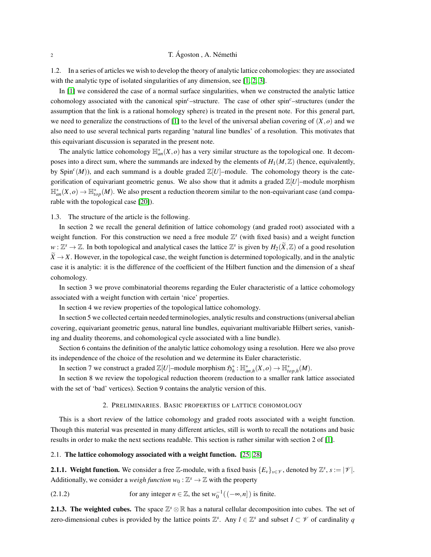## 2 T. Ágoston , A. Némethi

1.2. In a series of articles we wish to develop the theory of analytic lattice cohomologies: they are associated with the analytic type of isolated singularities of any dimension, see [\[1,](#page-21-6) [2,](#page-21-7) [3\]](#page-21-8).

In [\[1\]](#page-21-6) we considered the case of a normal surface singularities, when we constructed the analytic lattice cohomology associated with the canonical spin*c*–structure. The case of other spin*c*–structures (under the assumption that the link is a rational homology sphere) is treated in the present note. For this general part, we need to generalize the constructions of [\[1\]](#page-21-6) to the level of the universal abelian covering of  $(X, o)$  and we also need to use several technical parts regarding 'natural line bundles' of a resolution. This motivates that this equivariant discussion is separated in the present note.

The analytic lattice cohomology  $\mathbb{H}_{an}^{*}(X,o)$  has a very similar structure as the topological one. It decomposes into a direct sum, where the summands are indexed by the elements of  $H_1(M,\mathbb{Z})$  (hence, equivalently, by Spin<sup>c</sup>(*M*)), and each summand is a double graded  $\mathbb{Z}[U]$ -module. The cohomology theory is the categorification of equivariant geometric genus. We also show that it admits a graded  $\mathbb{Z}[U]$ –module morphism  $\mathbb{H}_{an}^*(X,o) \to \mathbb{H}_{top}^*(M)$ . We also present a reduction theorem similar to the non-equivariant case (and comparable with the topological case [\[20\]](#page-22-14)).

## 1.3. The structure of the article is the following.

In section 2 we recall the general definition of lattice cohomology (and graded root) associated with a weight function. For this construction we need a free module  $\mathbb{Z}^s$  (with fixed basis) and a weight function  $w: \mathbb{Z}^s \to \mathbb{Z}$ . In both topological and analytical cases the lattice  $\mathbb{Z}^s$  is given by  $H_2(\widetilde{X}, \mathbb{Z})$  of a good resolution  $\widetilde{X} \to X$ . However, in the topological case, the weight function is determined topologically, and in the analytic case it is analytic: it is the difference of the coefficient of the Hilbert function and the dimension of a sheaf cohomology.

In section 3 we prove combinatorial theorems regarding the Euler characteristic of a lattice cohomology associated with a weight function with certain 'nice' properties.

In section 4 we review properties of the topological lattice cohomology.

In section 5 we collected certain needed terminologies, analytic results and constructions (universal abelian covering, equivariant geometric genus, natural line bundles, equivariant multivariable Hilbert series, vanishing and duality theorems, and cohomological cycle associated with a line bundle).

Section 6 contains the definition of the analytic lattice cohomology using a resolution. Here we also prove its independence of the choice of the resolution and we determine its Euler characteristic.

In section 7 we construct a graded  $\mathbb{Z}[U]$ -module morphism  $\mathfrak{H}_h^* : \mathbb{H}_{an,h}^*(X, o) \to \mathbb{H}_{top,h}^*(M)$ .

In section 8 we review the topological reduction theorem (reduction to a smaller rank lattice associated with the set of 'bad' vertices). Section 9 contains the analytic version of this.

## 2. PRELIMINARIES. BASIC PROPERTIES OF LATTICE COHOMOLOGY

This is a short review of the lattice cohomology and graded roots associated with a weight function. Though this material was presented in many different articles, still is worth to recall the notations and basic results in order to make the next sections readable. This section is rather similar with section 2 of [\[1\]](#page-21-6).

#### <span id="page-1-0"></span>2.1. The lattice cohomology associated with a weight function. [\[25,](#page-22-0) [28\]](#page-22-2)

**2.1.1. Weight function.** We consider a free Z-module, with a fixed basis  $\{E_v\}_{v \in V}$ , denoted by  $\mathbb{Z}^s$ ,  $s := |\mathcal{V}|$ . Additionally, we consider a *weigh function*  $w_0 : \mathbb{Z}^s \to \mathbb{Z}$  with the property

(2.1.2) for any integer  $n \in \mathbb{Z}$ , the set  $w_0^{-1}((-\infty, n])$  is finite.

2.1.3. The weighted cubes. The space  $\mathbb{Z}^s$  ⊗ R has a natural cellular decomposition into cubes. The set of zero-dimensional cubes is provided by the lattice points  $\mathbb{Z}^s$ . Any  $l \in \mathbb{Z}^s$  and subset  $I \subset \mathscr{V}$  of cardinality q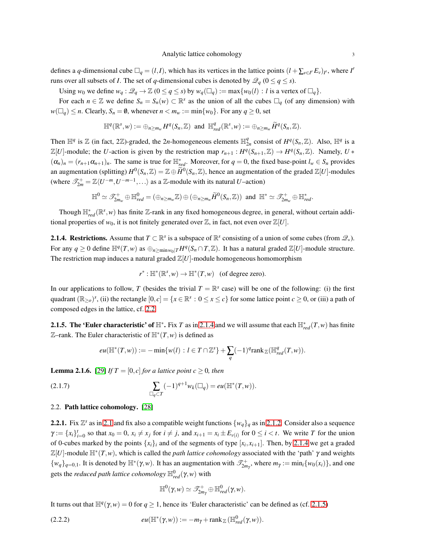defines a *q*-dimensional cube  $\Box_q = (l, I)$ , which has its vertices in the lattice points  $(l + \sum_{v \in I'} E_v)_{I'}$ , where *I'* runs over all subsets of *I*. The set of *q*-dimensional cubes is denoted by  $\mathcal{Q}_q$  ( $0 \le q \le s$ ).

Using  $w_0$  we define  $w_q : \mathcal{Q}_q \to \mathbb{Z}$  ( $0 \le q \le s$ ) by  $w_q(\Box_q) := \max\{w_0(l) : l \text{ is a vertex of } \Box_q\}.$ 

For each  $n \in \mathbb{Z}$  we define  $S_n = S_n(w) \subset \mathbb{R}^s$  as the union of all the cubes  $\Box_q$  (of any dimension) with  $w(\Box_q) \leq n$ . Clearly,  $S_n = \emptyset$ , whenever  $n < m_w := \min\{w_0\}$ . For any  $q \geq 0$ , set

$$
\mathbb{H}^q(\mathbb{R}^s, w) := \bigoplus_{n \geq m_w} H^q(S_n, \mathbb{Z}) \text{ and } \mathbb{H}^q_{red}(\mathbb{R}^s, w) := \bigoplus_{n \geq m_w} \widetilde{H}^q(S_n, \mathbb{Z}).
$$

Then  $\mathbb{H}^q$  is  $\mathbb{Z}$  (in fact, 2 $\mathbb{Z}$ )-graded, the 2*n*-homogeneous elements  $\mathbb{H}^q_{2n}$  consist of  $H^q(S_n, \mathbb{Z})$ . Also,  $\mathbb{H}^q$  is a  $\mathbb{Z}[U]$ -module; the *U*-action is given by the restriction map  $r_{n+1}: H^q(S_{n+1}, \mathbb{Z}) \to H^q(S_n, \mathbb{Z})$ . Namely,  $U *$  $(\alpha_n)_n = (r_{n+1}\alpha_{n+1})_n$ . The same is true for  $\mathbb{H}_{red}^*$ . Moreover, for  $q = 0$ , the fixed base-point  $l_w \in S_n$  provides an augmentation (splitting)  $H^0(S_n, \mathbb{Z}) = \mathbb{Z} \oplus \widetilde{H}^0(S_n, \mathbb{Z})$ , hence an augmentation of the graded  $\mathbb{Z}[U]$ -modules (where  $\mathscr{T}_{2m}^+ = \mathbb{Z}\langle U^{-m}, U^{-m-1}, \ldots \rangle$  as a  $\mathbb{Z}$ -module with its natural *U*-action)

$$
\mathbb{H}^{0} \simeq \mathscr{T}^+_{2m_w} \oplus \mathbb{H}^{0}_{red} = (\oplus_{n \geq m_w} \mathbb{Z}) \oplus (\oplus_{n \geq m_w} \widetilde{H}^{0}(S_n, \mathbb{Z})) \text{ and } \mathbb{H}^* \simeq \mathscr{T}^+_{2m_w} \oplus \mathbb{H}^*_{red}.
$$

Though  $\mathbb{H}_{red}^*(\mathbb{R}^s, w)$  has finite Z-rank in any fixed homogeneous degree, in general, without certain additional properties of  $w_0$ , it is not finitely generated over  $\mathbb{Z}$ , in fact, not even over  $\mathbb{Z}[U]$ .

**2.1.4. Restrictions.** Assume that  $T \subset \mathbb{R}^s$  is a subspace of  $\mathbb{R}^s$  consisting of a union of some cubes (from  $\mathcal{Q}_*$ ). For any  $q \ge 0$  define  $\mathbb{H}^q(T,w)$  as  $\bigoplus_{n \ge \min w_0 \mid T} H^q(S_n \cap T, \mathbb{Z})$ . It has a natural graded  $\mathbb{Z}[U]$ -module structure. The restriction map induces a natural graded  $\mathbb{Z}[U]$ -module homogeneous homomorphism

$$
r^*: \mathbb{H}^*(\mathbb{R}^s, w) \to \mathbb{H}^*(T, w) \quad \text{(of degree zero)}.
$$

In our applications to follow, *T* (besides the trivial  $T = \mathbb{R}^s$  case) will be one of the following: (i) the first quadrant  $(\mathbb{R}_{\geq 0})^s$ , (ii) the rectangle  $[0,c] = \{x \in \mathbb{R}^s : 0 \leq x \leq c\}$  for some lattice point  $c \geq 0$ , or (iii) a path of composed edges in the lattice, cf. [2.2.](#page-2-0)

**2.1.5. The 'Euler characteristic' of**  $\mathbb{H}^*$ **.** Fix *T* as in [2.1.4](#page-3-0) and we will assume that each  $\mathbb{H}^*_{red}(T,w)$  has finite Z–rank. The Euler characteristic of H<sup>∗</sup> (*T*,*w*) is defined as

$$
eu(\mathbb{H}^*(T,w)) := -\min\{w(l) : l \in T \cap \mathbb{Z}^s\} + \sum_q (-1)^q \text{rank}_{\mathbb{Z}}(\mathbb{H}^q_{red}(T,w)).
$$

**Lemma 2.1.6.** [\[29\]](#page-22-15) *If*  $T = [0, c]$  *for a lattice point c*  $\geq 0$ *, then* 

(2.1.7) 
$$
\sum_{\Box_q \subset T} (-1)^{q+1} w_k(\Box_q) = e^{\mu(\mathbb{H}^*(T, w))}.
$$

## <span id="page-2-0"></span>2.2. Path lattice cohomology. [\[28\]](#page-22-2)

**2.2.1.** Fix  $\mathbb{Z}^s$  as in [2.1](#page-1-0) and fix also a compatible weight functions  $\{w_q\}_q$  as in [2.1.2.](#page-3-1) Consider also a sequence  $\gamma := \{x_i\}_{i=0}^t$  so that  $x_0 = 0$ ,  $x_i \neq x_j$  for  $i \neq j$ , and  $x_{i+1} = x_i \pm E_{\nu(i)}$  for  $0 \leq i < t$ . We write T for the union of 0-cubes marked by the points  $\{x_i\}_i$  and of the segments of type  $[x_i, x_{i+1}]$ . Then, by [2.1.4](#page-3-0) we get a graded  $\mathbb{Z}[U]$ -module  $\mathbb{H}^*(T,w)$ , which is called the *path lattice cohomology* associated with the 'path'  $\gamma$  and weights  $\{w_q\}_{q=0,1}$ . It is denoted by  $\mathbb{H}^*(\gamma,w)$ . It has an augmentation with  $\mathcal{I}_{2m_\gamma}^+$ , where  $m_\gamma := \min_i \{w_0(x_i)\}\$ , and one gets the *reduced path lattice cohomology*  $\mathbb{H}^0_{red}(\gamma, w)$  with

$$
\mathbb{H}^0(\gamma,w) \simeq \mathscr{T}^+_{2m_\gamma} \oplus \mathbb{H}^0_{red}(\gamma,w).
$$

It turns out that  $\mathbb{H}^q(\gamma, w) = 0$  for  $q \ge 1$ , hence its 'Euler characteristic' can be defined as (cf. [2.1.5\)](#page-3-2)

(2.2.2) 
$$
eu(\mathbb{H}^*(\gamma,w)) := -m_\gamma + \operatorname{rank}_{\mathbb{Z}} (\mathbb{H}^0_{red}(\gamma,w)).
$$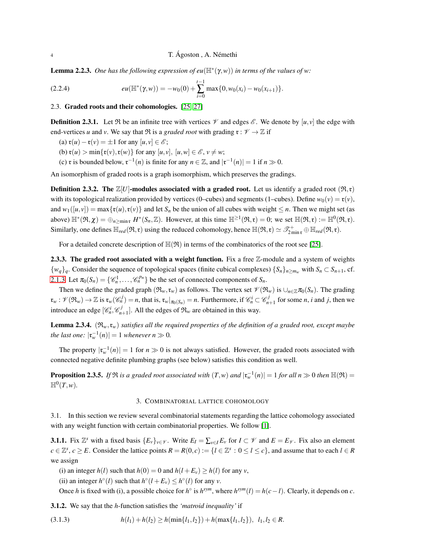**Lemma 2.2.3.** One has the following expression of  $eu(\mathbb{H}^*(\gamma,w))$  in terms of the values of w:

(2.2.4) 
$$
eu(\mathbb{H}^*(\gamma,w))=-w_0(0)+\sum_{i=0}^{t-1}\max\{0,w_0(x_i)-w_0(x_{i+1})\}.
$$

#### 2.3. Graded roots and their cohomologies. [\[25,](#page-22-0) [27\]](#page-22-1)

<span id="page-3-4"></span>**Definition 2.3.1.** Let  $\Re$  be an infinite tree with vertices  $\mathcal V$  and edges  $\mathcal E$ . We denote by  $[u, v]$  the edge with end-vertices *u* and *v*. We say that  $\Re$  is a *graded root* with grading  $\mathfrak{r} : \mathcal{V} \to \mathbb{Z}$  if

- (a)  $\mathfrak{r}(u) \mathfrak{r}(v) = \pm 1$  for any  $[u, v] \in \mathcal{E}$ ;
- (b)  $\mathfrak{r}(u) > \min{\{\mathfrak{r}(v), \mathfrak{r}(w)\}}$  for any  $[u, v]$ ,  $[u, w] \in \mathscr{E}, v \neq w$ ;
- (c) **r** is bounded below,  $\mathfrak{r}^{-1}(n)$  is finite for any  $n \in \mathbb{Z}$ , and  $|\mathfrak{r}^{-1}(n)| = 1$  if  $n \gg 0$ .

An isomorphism of graded roots is a graph isomorphism, which preserves the gradings.

<span id="page-3-1"></span>**Definition 2.3.2.** The  $\mathbb{Z}[U]$ -modules associated with a graded root. Let us identify a graded root  $(\mathfrak{R}, \mathfrak{r})$ with its topological realization provided by vertices (0–cubes) and segments (1–cubes). Define  $w_0(v) = \mathfrak{r}(v)$ , and  $w_1([u,v]) = \max\{x(u),x(v)\}\$  and let  $S_n$  be the union of all cubes with weight  $\leq n$ . Then we might set (as above)  $\mathbb{H}^*(\mathfrak{R}, \chi) = \bigoplus_{n \ge \min \mathfrak{r}} H^*(S_n, \mathbb{Z})$ . However, at this time  $\mathbb{H}^{\ge 1}(\mathfrak{R}, \mathfrak{r}) = 0$ ; we set  $\mathbb{H}(\mathfrak{R}, \mathfrak{r}) := \mathbb{H}^0(\mathfrak{R}, \mathfrak{r})$ . Similarly, one defines  $\mathbb{H}_{red}(\mathfrak{R}, \mathfrak{r})$  using the reduced cohomology, hence  $\mathbb{H}(\mathfrak{R}, \mathfrak{r}) \simeq \mathscr{T}^+_{2\min \mathfrak{r}} \oplus \mathbb{H}_{red}(\mathfrak{R}, \mathfrak{r})$ .

For a detailed concrete description of  $\mathbb{H}(\mathfrak{R})$  in terms of the combinatorics of the root see [\[25\]](#page-22-0).

<span id="page-3-3"></span>2.3.3. The graded root associated with a weight function. Fix a free Z-module and a system of weights  $\{w_q\}_q$ . Consider the sequence of topological spaces (finite cubical complexes)  $\{S_n\}_{n \ge m_w}$  with  $S_n \subset S_{n+1}$ , cf. [2.1.3.](#page-3-3) Let  $\pi_0(S_n) = \{ \mathcal{C}_n^1, \ldots, \mathcal{C}_n^{p_n} \}$  be the set of connected components of  $S_n$ .

Then we define the graded graph  $(\mathfrak{R}_w, \mathfrak{r}_w)$  as follows. The vertex set  $\mathcal{V}(\mathfrak{R}_w)$  is  $\cup_{n \in \mathbb{Z}} \pi_0(S_n)$ . The grading  $\mathfrak{r}_{w} : \mathscr{V}(\mathfrak{R}_{w}) \to \mathbb{Z}$  is  $\mathfrak{r}_{w}(\mathscr{C}_{n}^{j}) = n$ , that is,  $\mathfrak{r}_{w}|_{\pi_{0}(S_{n})} = n$ . Furthermore, if  $\mathscr{C}_{n}^{j} \subset \mathscr{C}_{n+1}^{j}$  for some *n*, *i* and *j*, then we introduce an edge  $[\mathcal{C}_n^i, \mathcal{C}_{n+1}^j]$ . All the edges of  $\mathfrak{R}_w$  are obtained in this way.

<span id="page-3-0"></span>**Lemma 2.3.4.**  $(\mathfrak{R}_w, \mathfrak{r}_w)$  *satisfies all the required properties of the definition of a graded root, except maybe the last one:*  $|\mathfrak{r}_{w}^{-1}(n)| = 1$  *whenever*  $n \gg 0$ *.* 

The property  $|\mathfrak{r}_{w}^{-1}(n)| = 1$  for  $n \gg 0$  is not always satisfied. However, the graded roots associated with connected negative definite plumbing graphs (see below) satisfies this condition as well.

<span id="page-3-2"></span>**Proposition 2.3.5.** If  $\Re$  is a graded root associated with  $(T, w)$  and  $|\mathfrak{r}_w^{-1}(n)| = 1$  for all  $n \gg 0$  then  $\mathbb{H}(\Re) =$  $\mathbb{H}^0(T,w)$ .

### 3. COMBINATORIAL LATTICE COHOMOLOGY

3.1. In this section we review several combinatorial statements regarding the lattice cohomology associated with any weight function with certain combinatorial properties. We follow [\[1\]](#page-21-6).

<span id="page-3-5"></span>**3.1.1.** Fix  $\mathbb{Z}^s$  with a fixed basis  $\{E_v\}_{v \in \mathcal{V}}$ . Write  $E_I = \sum_{v \in I} E_v$  for  $I \subset \mathcal{V}$  and  $E = E_{\mathcal{V}}$ . Fix also an element  $c \in \mathbb{Z}^s$ ,  $c \ge E$ . Consider the lattice points  $R = R(0, c) := \{l \in \mathbb{Z}^s : 0 \le l \le c\}$ , and assume that to each  $l \in R$ we assign

(i) an integer  $h(l)$  such that  $h(0) = 0$  and  $h(l + E_v) \ge h(l)$  for any *v*,

(ii) an integer  $h^{\circ}(l)$  such that  $h^{\circ}(l + E_v) \leq h^{\circ}(l)$  for any *v*.

Once *h* is fixed with (i), a possible choice for *h*<sup>°</sup> is  $h^{sym}$ , where  $h^{sym}(l) = h(c - l)$ . Clearly, it depends on *c*.

3.1.2. We say that the *h*-function satisfies the *'matroid inequality'* if

$$
(3.1.3) \t\t\t h(l_1) + h(l_2) \ge h(\min\{l_1, l_2\}) + h(\max\{l_1, l_2\}), l_1, l_2 \in R.
$$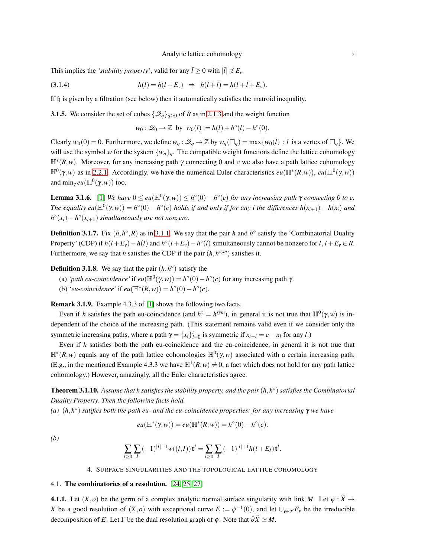#### Analytic lattice cohomology 5

This implies the *'stability property'*, valid for any  $\bar{l} \ge 0$  with  $|\bar{l}| \not\supseteq E_v$ 

(3.1.4) 
$$
h(l) = h(l + E_v) \Rightarrow h(l + \bar{l}) = h(l + \bar{l} + E_v).
$$

If  $\mathfrak h$  is given by a filtration (see below) then it automatically satisfies the matroid inequality.

**3.1.5.** We consider the set of cubes  $\{\mathscr{Q}_q\}_{q\geq 0}$  of *R* as in [2.1.3](#page-3-3) and the weight function

$$
w_0: \mathcal{Q}_0 \to \mathbb{Z} \text{ by } w_0(l) := h(l) + h^{\circ}(l) - h^{\circ}(0).
$$

Clearly  $w_0(0) = 0$ . Furthermore, we define  $w_q : \mathcal{Q}_q \to \mathbb{Z}$  by  $w_q(\Box_q) = \max\{w_0(l) : l \text{ is a vertex of } \Box_q\}$ . We will use the symbol *w* for the system  $\{w_q\}_q$ . The compatible weight functions define the lattice cohomology  $\mathbb{H}^*(R, w)$ . Moreover, for any increasing path  $\gamma$  connecting 0 and *c* we also have a path lattice cohomology  $\mathbb{H}^0(γ, w)$  as in [2.2.1.](#page-3-4) Accordingly, we have the numerical Euler characteristics *eu*( $\mathbb{H}^*(R, w)$ ), *eu*( $\mathbb{H}^0(γ, w)$ ) and  $\min_{\gamma} eu(\mathbb{H}^0(\gamma,w))$  too.

**Lemma 3.1.6.** [\[1\]](#page-21-6) We have  $0 \le eu(\mathbb{H}^0(\gamma,w)) \le h^{\circ}(0) - h^{\circ}(c)$  for any increasing path  $\gamma$  connecting 0 to c.  $\text{The equality}$   $eu(\mathbb{H}^0(\gamma,w)) = h^\circ(0) - h^\circ(c)$  holds if and only if for any i the differences  $h(x_{i+1}) - h(x_i)$  and  $h^{\circ}(x_i) - h^{\circ}(x_{i+1})$  *simultaneously are not nonzero.* 

**Definition 3.1.7.** Fix  $(h, h^{\circ}, R)$  as in [3.1.1.](#page-3-5) We say that the pair *h* and  $h^{\circ}$  satisfy the 'Combinatorial Duality Property' (CDP) if  $h(l+E_v) - h(l)$  and  $h^{\circ}(l+E_v) - h^{\circ}(l)$  simultaneously cannot be nonzero for  $l, l+E_v \in R$ . Furthermore, we say that *h* satisfies the CDP if the pair  $(h, h^{sym})$  satisfies it.

**Definition 3.1.8.** We say that the pair  $(h, h^{\circ})$  satisfy the

- (a) *'path eu-coincidence'* if  $eu(\mathbb{H}^0(\gamma,w)) = h^{\circ}(0) h^{\circ}(c)$  for any increasing path  $\gamma$ .
- (b) *'eu-coincidence'* if  $eu(\mathbb{H}^*(R,w)) = h^{\circ}(0) h^{\circ}(c)$ .

Remark 3.1.9. Example 4.3.3 of [\[1\]](#page-21-6) shows the following two facts.

Even if *h* satisfies the path eu-coincidence (and  $h^{\circ} = h^{sym}$ ), in general it is not true that  $\mathbb{H}^0(\gamma, w)$  is independent of the choice of the increasing path. (This statement remains valid even if we consider only the symmetric increasing paths, where a path  $\gamma = \{x_i\}_{i=0}^t$  is symmetric if  $x_{t-l} = c - x_l$  for any *l*.)

Even if *h* satisfies both the path eu-coincidence and the eu-coincidence, in general it is not true that H∗ (*R*,*w*) equals any of the path lattice cohomologies H<sup>0</sup> (γ,*w*) associated with a certain increasing path. (E.g., in the mentioned Example 4.3.3 we have  $\mathbb{H}^1(R, w) \neq 0$ , a fact which does not hold for any path lattice cohomology.) However, amazingly, all the Euler characteristics agree.

<span id="page-4-0"></span>**Theorem 3.1.10.** Assume that h satisfies the stability property, and the pair  $(h, h^{\circ})$  satisfies the Combinatorial *Duality Property. Then the following facts hold.*

*(a)* (*h*,*h* ◦ ) *satifies both the path eu- and the eu-coincidence properties: for any increasing* γ *we have*

$$
eu(\mathbb{H}^*(\gamma, w)) = eu(\mathbb{H}^*(R, w)) = h^{\circ}(0) - h^{\circ}(c).
$$

*(b)*

$$
\sum_{l\geq 0}\sum_{I}(-1)^{|I|+1}w((l,I))\,{\bf t}^l=\sum_{l\geq 0}\sum_{I}(-1)^{|I|+1}h(l+E_I)\,{\bf t}^l.
$$

4. SURFACE SINGULARITIES AND THE TOPOLOGICAL LATTICE COHOMOLOGY

## 4.1. The combinatorics of a resolution. [\[24,](#page-22-16) [25,](#page-22-0) [27\]](#page-22-1)

**4.1.1.** Let  $(X, o)$  be the germ of a complex analytic normal surface singularity with link *M*. Let  $\phi : \widetilde{X} \to$ *X* be a good resolution of  $(X, o)$  with exceptional curve  $E := \phi^{-1}(0)$ , and let  $\cup_{v \in \mathscr{V}} E_v$  be the irreducible decomposition of *E*. Let  $\Gamma$  be the dual resolution graph of  $\phi$ . Note that  $\partial \widetilde{X} \simeq M$ .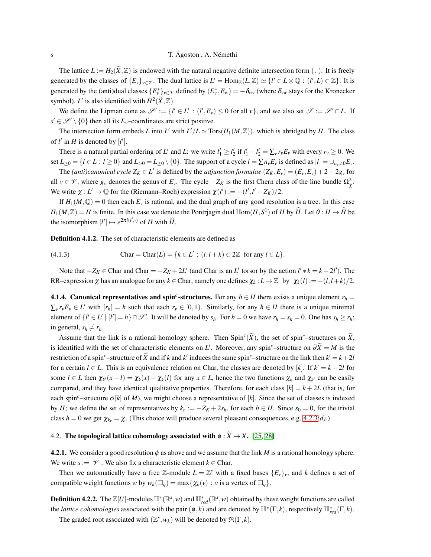The lattice  $L := H_2(X, \mathbb{Z})$  is endowed with the natural negative definite intersection form  $($ ,  $)$ . It is freely generated by the classes of  $\{E_v\}_{v \in V}$ . The dual lattice is  $L' = \text{Hom}_{\mathbb{Z}}(L, \mathbb{Z}) \simeq \{l' \in L \otimes \mathbb{Q} : (l', L) \in \mathbb{Z}\}$ . It is generated by the (anti)dual classes  $\{E_v^*\}_{v \in V}$  defined by  $(E_v^*, E_w) = -\delta_{vw}$  (where  $\delta_{vw}$  stays for the Kronecker symbol). *L'* is also identified with  $H^2(\widetilde{X}, \mathbb{Z})$ .

We define the Lipman cone as  $\mathscr{S}' := \{l' \in L' : (l', E_v) \leq 0 \text{ for all } v\}$ , and we also set  $\mathscr{S} := \mathscr{S}' \cap L$ . If  $s' \in \mathcal{S}' \setminus \{0\}$  then all its  $E_v$ –coordinates are strict positive.

The intersection form embeds *L* into *L'* with  $L'/L \simeq \text{Tors}(H_1(M,\mathbb{Z}))$ , which is abridged by *H*. The class of  $l'$  in  $H$  is denoted by  $[l']$ .

There is a natural partial ordering of *L'* and *L*: we write  $l'_1 \ge l'_2$  if  $l'_1 - l'_2 = \sum_v r_v E_v$  with every  $r_v \ge 0$ . We set  $L_{\geq 0} = \{l \in L : l \geq 0\}$  and  $L_{>0} = L_{\geq 0} \setminus \{0\}$ . The support of a cycle  $l = \sum n_{\nu} E_{\nu}$  is defined as  $|l| = \bigcup_{n_{\nu} \neq 0} E_{\nu}$ .

The *(anti)canonical cycle*  $Z_K \in L'$  is defined by the *adjunction formulae*  $(Z_K, E_v) = (E_v, E_v) + 2 - 2g_v$  for all *v* ∈  $\mathcal{V}$ , where  $g_y$  denotes the genus of  $E_y$ . The cycle  $-Z_K$  is the first Chern class of the line bundle  $\Omega_{\tilde{X}}^2$ . We write  $\chi: L' \to \mathbb{Q}$  for the (Riemann–Roch) expression  $\chi(l') := -(l', l' - Z_K)/2$ .

If  $H_1(M,\mathbb{Q})=0$  then each  $E_\nu$  is rational, and the dual graph of any good resolution is a tree. In this case  $H_1(M,\mathbb{Z}) = H$  is finite. In this case we denote the Pontrjagin dual  $Hom(H, S^1)$  of *H* by  $\hat{H}$ . Let  $\theta : H \to \hat{H}$  be the isomorphism  $[l'] \mapsto e^{2\pi i(l',\cdot)}$  of *H* with  $\widehat{H}$ .

Definition 4.1.2. The set of characteristic elements are defined as

(4.1.3) 
$$
Char = Char(L) = \{k \in L': (l, l+k) \in 2\mathbb{Z} \text{ for any } l \in L\}.
$$

Note that  $-Z_K \in \text{Char}$  and  $\text{Char} = -Z_K + 2L'$  (and  $\text{Char}$  is an  $L'$  torsor by the action  $l' * k = k + 2l'$ ). The RR–expression  $\chi$  has an analogue for any  $k \in$  Char, namely one defines  $\chi_k : L \to \mathbb{Z}$  by  $\chi_k(l) := -(l, l+k)/2$ .

**4.1.4. Canonical representatives and spin<sup>c</sup>-structures.** For any  $h \in H$  there exists a unique element  $r_h =$  $\sum_{v} r_{v} E_{v} \in L'$  with  $[r_{h}] = h$  such that each  $r_{v} \in [0,1)$ . Similarly, for any  $h \in H$  there is a unique minimal element of  $\{l' \in L' \mid [l'] = h\} \cap \mathcal{S}'$ . It will be denoted by  $s_h$ . For  $h = 0$  we have  $r_h = s_h = 0$ . One has  $s_h \ge r_h$ ; in general,  $s_h \neq r_h$ .

Assume that the link is a rational homology sphere. Then  $Spin^c(\widetilde{X})$ , the set of spin<sup>c</sup>–structures on  $\widetilde{X}$ , is identified with the set of characteristic elements on *L'*. Moreover, any spin<sup>*c*</sup>–structure on  $\partial \widetilde{X} = M$  is the restriction of a spin<sup>c</sup>-structure of  $\widetilde{X}$  and if *k* and *k'* induces the same spin<sup>c</sup>-structure on the link then  $k' = k + 2l$ for a certain  $l \in L$ . This is an equivalence relation on Char, the classes are denoted by [k]. If  $k' = k + 2l$  for some  $l \in L$  then  $\chi_{k'}(x-l) = \chi_k(x) - \chi_k(l)$  for any  $x \in L$ , hence the two functions  $\chi_k$  and  $\chi_{k'}$  can be easily compared, and they have identical qualitative properties. Therefore, for each class  $[k] = k + 2L$  (that is, for each spin<sup>c</sup>–structure  $\sigma[k]$  of *M*), we might choose a representative of [*k*]. Since the set of classes is indexed by *H*; we define the set of representatives by  $k_r := -Z_K + 2s_h$ , for each  $h \in H$ . Since  $s_0 = 0$ , for the trivial class  $h = 0$  we get  $\chi_k = \chi$ . (This choice will produce several pleasant consequences, e.g. [4.2.3](#page-6-0)*(d)*.)

# 4.2. The topological lattice cohomology associated with  $\phi : \widetilde{X} \to X$ . [\[25,](#page-22-0) [28\]](#page-22-2)

<span id="page-5-0"></span>**4.2.1.** We consider a good resolution  $\phi$  as above and we assume that the link *M* is a rational homology sphere. We write  $s := |\mathcal{V}|$ . We also fix a characteristic element  $k \in \text{Char.}$ 

Then we automatically have a free Z-module  $L = \mathbb{Z}^s$  with a fixed bases  $\{E_v\}_v$ , and *k* defines a set of compatible weight functions *w* by  $w_k(\Box_q) = \max\{\chi_k(v) : v \text{ is a vertex of } \Box_q\}.$ 

**Definition 4.2.2.** The  $\mathbb{Z}[U]$ -modules  $\mathbb{H}^*(\mathbb{R}^s, w)$  and  $\mathbb{H}^*_{red}(\mathbb{R}^s, w)$  obtained by these weight functions are called the *lattice cohomologies* associated with the pair  $(\phi, k)$  and are denoted by  $\mathbb{H}^*(\Gamma, k)$ , respectively  $\mathbb{H}^*_{red}(\Gamma, k)$ . The graded root associated with  $(\mathbb{Z}^s, w_k)$  will be denoted by  $\Re(\Gamma, k)$ .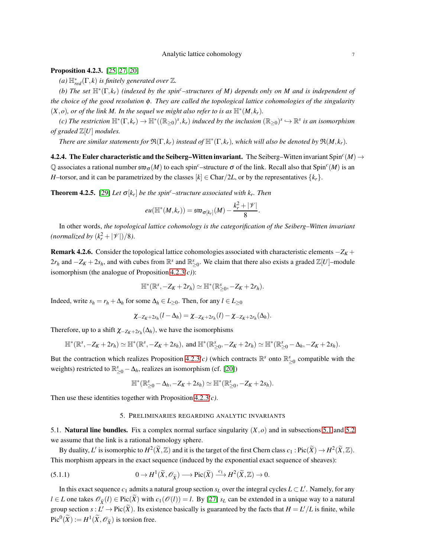# Analytic lattice cohomology 7

<span id="page-6-0"></span>**Proposition 4.2.3.** [\[25,](#page-22-0) [27,](#page-22-1) [20\]](#page-22-14)

 $(a) \mathbb{H}_{red}^{*}(\Gamma, k)$  *is finitely generated over*  $\mathbb{Z}$ *.* 

*(b) The set* H<sup>∗</sup> (Γ,*kr*) *(indexed by the spinc–structures of M) depends only on M and is independent of the choice of the good resolution* φ*. They are called the topological lattice cohomologies of the singularity*  $(X, o)$ , or of the link M. In the sequel we might also refer to is as  $\mathbb{H}^*(M, k_r)$ .

 $f(c)$  The restriction  $\mathbb{H}^*(\Gamma, k_r) \to \mathbb{H}^*((\mathbb{R}_{\geq 0})^s, k_r)$  induced by the inclusion  $(\mathbb{R}_{\geq 0})^s \hookrightarrow \mathbb{R}^s$  is an isomorphism *of graded* Z[*U*] *modules.*

*There are similar statements for*  $\mathfrak{R}(\Gamma,k_r)$  *instead of*  $\mathbb{H}^*(\Gamma,k_r)$ *, which will also be denoted by*  $\mathfrak{R}(M,k_r)$ *.* 

**4.2.4. The Euler characteristic and the Seiberg–Witten invariant.** The Seiberg–Witten invariant Spin<sup>c</sup>( $M$ )  $\rightarrow$  $\mathbb Q$  associates a rational number  $\mathfrak{sw}_{\sigma}(M)$  to each spin<sup>c</sup>–structure  $\sigma$  of the link. Recall also that Spin<sup>c</sup>(*M*) is an *H*–torsor, and it can be parametrized by the classes  $[k] \in Char/2L$ , or by the representatives  $\{k<sub>r</sub>\}$ .

**Theorem 4.2.5.** [\[29\]](#page-22-15) *Let*  $\sigma[k_r]$  *be the spin<sup>c</sup>–structure associated with k<sub><i>r*</sub>. Then</sub>

$$
eu(\mathbb H^*(M,k_r))=\mathfrak{sw}_{\sigma[k_r]}(M)-\frac{k_r^2+|\mathcal V|}{8}
$$

.

In other words, *the topological lattice cohomology is the categorification of the Seiberg–Witten invariant* (normalized by  $(k_r^2 + |\mathcal{V}|)/8$ ).

<span id="page-6-2"></span>Remark 4.2.6. Consider the topological lattice cohomologies associated with characteristic elements −*Z<sup>K</sup>* +  $2r_h$  and  $-Z_K + 2s_h$ , and with cubes from  $\mathbb{R}^s$  and  $\mathbb{R}^s_{\geq 0}$ . We claim that there also exists a graded  $\mathbb{Z}[U]$ –module isomorphism (the analogue of Proposition [4.2.3](#page-6-0)*(c)*):

$$
\mathbb{H}^*(\mathbb{R}^s, -Z_K+2r_h)\simeq \mathbb{H}^*(\mathbb{R}^s_{\geq 0}, -Z_K+2r_h).
$$

Indeed, write  $s_h = r_h + \Delta_h$  for some  $\Delta_h \in L_{\geq 0}$ . Then, for any  $l \in L_{\geq 0}$ 

$$
\chi_{-Z_K+2s_h}(l-\Delta_h)=\chi_{-Z_K+2r_h}(l)-\chi_{-Z_K+2r_h}(\Delta_h).
$$

Therefore, up to a shift  $\chi_{-Z_K+2r_h}(\Delta_h)$ , we have the isomorphisms

$$
\mathbb{H}^*(\mathbb{R}^s, -Z_K+2r_h) \simeq \mathbb{H}^*(\mathbb{R}^s, -Z_K+2s_h), \text{ and } \mathbb{H}^*(\mathbb{R}^s_{\geq 0}, -Z_K+2r_h) \simeq \mathbb{H}^*(\mathbb{R}^s_{\geq 0}-\Delta_h, -Z_K+2s_h).
$$

But the contraction which realizes Proposition [4.2.3](#page-6-0)(*c*) (which contracts  $\mathbb{R}^s$  onto  $\mathbb{R}^s_{\geq 0}$  compatible with the weights) restricted to  $\mathbb{R}^s_{\geq 0} - \Delta_h$ , realizes an isomorphism (cf. [\[20\]](#page-22-14))

$$
\mathbb{H}^*(\mathbb{R}_{\geq 0}^s - \Delta_h, -Z_K + 2s_h) \simeq \mathbb{H}^*(\mathbb{R}_{\geq 0}^s, -Z_K + 2s_h).
$$

Then use these identities together with Proposition [4.2.3](#page-6-0)*(c)*.

## 5. PRELIMINARIES REGARDING ANALYTIC INVARIANTS

<span id="page-6-1"></span>5.1. **Natural line bundles.** Fix a complex normal surface singularity  $(X, o)$  and in subsections [5.1](#page-6-1) and [5.2](#page-8-0) we assume that the link is a rational homology sphere.

By duality, L' is isomorphic to  $H^2(\widetilde{X}, \mathbb{Z})$  and it is the target of the first Chern class  $c_1 : \text{Pic}(\widetilde{X}) \to H^2(\widetilde{X}, \mathbb{Z})$ . This morphism appears in the exact sequence (induced by the exponential exact sequence of sheaves):

(5.1.1) 
$$
0 \to H^1(\widetilde{X}, \mathscr{O}_{\widetilde{X}}) \longrightarrow Pic(\widetilde{X}) \xrightarrow{c_1} H^2(\widetilde{X}, \mathbb{Z}) \to 0.
$$

In this exact sequence  $c_1$  admits a natural group section  $s_L$  over the integral cycles  $L \subset L'$ . Namely, for any *l* ∈ *L* one takes  $\mathcal{O}_{\widetilde{X}}(l)$  ∈ Pic( $\widetilde{X}$ ) with  $c_1(\mathcal{O}(l)) = l$ . By [\[27\]](#page-22-1)  $s_L$  can be extended in a unique way to a natural group section  $s: L' \to Pic(\widetilde{X})$ . Its existence basically is guaranteed by the facts that  $H = L'/L$  is finite, while  $Pic^0(\widetilde{X}) := H^1(\widetilde{X}, \mathcal{O}_{\widetilde{X}})$  is torsion free.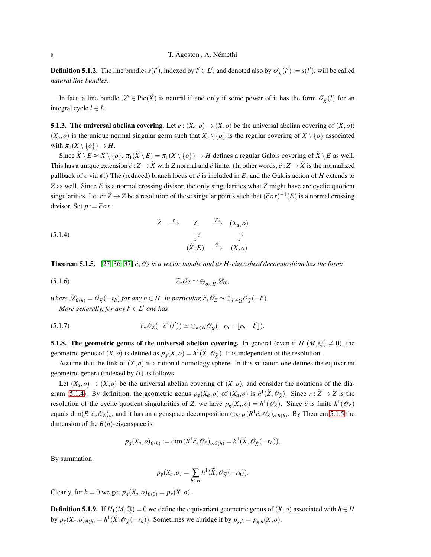**Definition 5.1.2.** The line bundles  $s(l')$ , indexed by  $l' \in L'$ , and denoted also by  $\mathscr{O}_{\widetilde{X}}(l') := s(l')$ , will be called *natural line bundles*.

In fact, a line bundle  $\mathscr{L} \in \text{Pic}(\widetilde{X})$  is natural if and only if some power of it has the form  $\mathscr{O}_{\widetilde{X}}(l)$  for an integral cycle  $l \in L$ .

**5.1.3. The universal abelian covering.** Let  $c : (X_a, o) \to (X, o)$  be the universal abelian covering of  $(X, o)$ :  $(X_a, o)$  is the unique normal singular germ such that  $X_a \setminus \{o\}$  is the regular covering of  $X \setminus \{o\}$  associated with  $\pi_1(X \setminus \{o\}) \to H$ .

Since  $\widetilde{X} \setminus E \approx X \setminus \{o\}$ ,  $\pi_1(\widetilde{X} \setminus E) = \pi_1(X \setminus \{o\}) \to H$  defines a regular Galois covering of  $\widetilde{X} \setminus E$  as well. This has a unique extension  $\tilde{c}: Z \to \tilde{X}$  with *Z* normal and  $\tilde{c}$  finite. (In other words,  $\tilde{c}: Z \to \tilde{X}$  is the normalized pullback of *c* via  $\phi$ .) The (reduced) branch locus of  $\tilde{c}$  is included in *E*, and the Galois action of *H* extends to *Z* as well. Since *E* is a normal crossing divisor, the only singularities what *Z* might have are cyclic quotient singularities. Let  $r : \widetilde{Z} \to Z$  be a resolution of these singular points such that  $(\widetilde{c} \circ r)^{-1}(E)$  is a normal crossing divisor. Set  $p := \tilde{c} \circ r$ .

(5.1.4) 
$$
\begin{array}{ccccccccc}\n\widetilde{Z} & \xrightarrow{r} & Z & \xrightarrow{\psi_a} & (X_a, o) \\
& & \downarrow \widetilde{c} & & \downarrow c \\
& & & \widetilde{(X, E)} & \xrightarrow{\phi} & (X, o)\n\end{array}
$$

**Theorem 5.1.5.** [\[27,](#page-22-1) [36,](#page-22-17) [37\]](#page-22-18)  $\tilde{c}_* \mathcal{O}_Z$  *is a vector bundle and its H-eigensheaf decomposition has the form:* 

$$
(5.1.6) \t\t\t \widetilde{c}_*\mathscr{O}_Z \simeq \bigoplus_{\alpha\in\widehat{H}}\mathscr{L}_\alpha,
$$

*where*  $\mathscr{L}_{\theta(h)} = \mathscr{O}_{\widetilde{X}}(-r_h)$  *for any*  $h \in H$ *. In particular,*  $\widetilde{c}_* \mathscr{O}_Z \simeq \bigoplus_{l' \in Q} \mathscr{O}_{\widetilde{X}}(-l').$ *More generally, for any l*′ ∈ *L* ′ *one has*

(5.1.7) 
$$
\widetilde{c}_*\mathscr{O}_Z(-\widetilde{c}^*(l')) \simeq \bigoplus_{h\in H}\mathscr{O}_{\widetilde{X}}(-r_h+\lfloor r_h-l'\rfloor).
$$

**5.1.8. The geometric genus of the universal abelian covering.** In general (even if  $H_1(M,\mathbb{Q}) \neq 0$ ), the geometric genus of  $(X, o)$  is defined as  $p_g(X, o) = h^1(\widetilde{X}, \mathcal{O}_{\widetilde{X}})$ . It is independent of the resolution.

Assume that the link of  $(X, o)$  is a rational homology sphere. In this situation one defines the equivarant geometric genera (indexed by *H*) as follows.

Let  $(X_a, o) \rightarrow (X, o)$  be the universal abelian covering of  $(X, o)$ , and consider the notations of the dia-gram [\(5.1.4\)](#page-9-0). By definition, the geometric genus  $p_g(X_a, o)$  of  $(X_a, o)$  is  $h^1(\tilde{Z}, \mathcal{O}_{\tilde{Z}})$ . Since  $r : \tilde{Z} \to Z$  is the resolution of the cyclic quotient singularities of *Z*, we have  $p_g(X_a, o) = h^1(\mathcal{O}_Z)$ . Since  $\tilde{c}$  is finite  $h^1(\mathcal{O}_Z)$ equals  $\dim(R^1\tilde{c}_*\mathcal{O}_Z)_o$ , and it has an eigenspace decomposition  $\bigoplus_{h\in H}(R^1\tilde{c}_*\mathcal{O}_Z)_{o,\theta(h)}$ . By Theorem [5.1.5](#page-9-1) the dimension of the  $\theta(h)$ -eigenspace is

$$
p_g(X_a, o)_{\theta(h)} := \dim (R^1 \widetilde{c}_* \mathscr{O}_Z)_{o, \theta(h)} = h^1(\widetilde{X}, \mathscr{O}_{\widetilde{X}}(-r_h)).
$$

By summation:

$$
p_g(X_a, o) = \sum_{h \in H} h^1(\widetilde{X}, \mathscr{O}_{\widetilde{X}}(-r_h)).
$$

Clearly, for  $h = 0$  we get  $p_g(X_a, o)_{\theta(0)} = p_g(X, o)$ .

**Definition 5.1.9.** If  $H_1(M,\mathbb{Q}) = 0$  we define the equivariant geometric genus of  $(X, o)$  associated with  $h \in H$ by  $p_g(X_a, o)_{\theta(h)} = h^1(\widetilde{X}, \mathcal{O}_{\widetilde{X}}(-r_h))$ . Sometimes we abridge it by  $p_{g,h} = p_{g,h}(X, o)$ .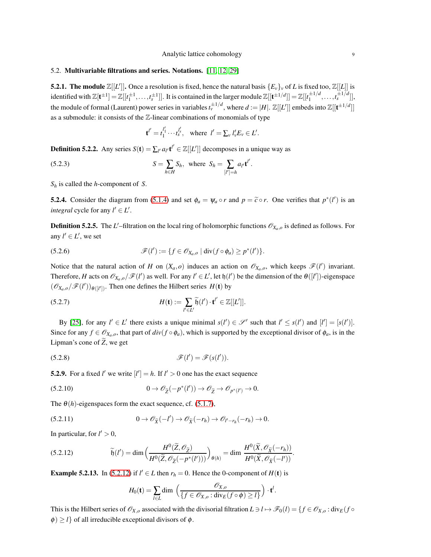## <span id="page-8-0"></span>5.2. Multivariable filtrations and series. Notations. [\[11,](#page-21-9) [12,](#page-21-10) [29\]](#page-22-15)

**5.2.1. The module**  $\mathbb{Z}[[L']]$ . Once a resolution is fixed, hence the natural basis  $\{E_v\}_v$  of L is fixed too,  $\mathbb{Z}[[L]]$  is identified with  $\mathbb{Z}[\mathbf{t}^{\pm 1}]=\mathbb{Z}[[t_1^{\pm 1},\ldots,t_s^{\pm 1}]]$ . It is contained in the larger module  $\mathbb{Z}[[\mathbf{t}^{\pm 1/d}]]=\mathbb{Z}[[t_1^{\pm 1/d}$  $\frac{1}{1}$   $\frac{1}{d}, \ldots, t_s$   $\frac{1}{d}$ ], the module of formal (Laurent) power series in variables  $t_v^{\pm 1/d}$ , where  $d := |H|$ .  $\mathbb{Z}[[L']]$  embeds into  $\mathbb{Z}[[t^{\pm 1/d}]]$ as a submodule: it consists of the Z-linear combinations of monomials of type

$$
\mathbf{t}^{l'}=t_1^{l'_1}\cdots t_s^{l'_s}, \quad \text{where } l'=\sum_{v}l'_vE_v\in L'.
$$

**Definition 5.2.2.** Any series  $S(t) = \sum_{l'} a_{l'} t^{l'} \in \mathbb{Z}[[L']]$  decomposes in a unique way as

(5.2.3) 
$$
S = \sum_{h \in H} S_h, \text{ where } S_h = \sum_{[l']=h} a_{l'} \mathbf{t}^{l'}.
$$

*S<sup>h</sup>* is called the *h*-component of *S*.

**5.2.4.** Consider the diagram from [\(5.1.4\)](#page-9-0) and set  $\phi_a = \psi_a \circ r$  and  $p = \tilde{c} \circ r$ . One verifies that  $p^*(l')$  is an *integral* cycle for any  $l' \in L'$ .

**Definition 5.2.5.** The L'-filtration on the local ring of holomorphic functions  $\mathcal{O}_{X_a,o}$  is defined as follows. For any  $l' \in L'$ , we set

(5.2.6) 
$$
\mathscr{F}(l') := \{f \in \mathscr{O}_{X_a,o} \mid \operatorname{div}(f \circ \phi_a) \geq p^*(l')\}.
$$

Notice that the natural action of *H* on  $(X_a, o)$  induces an action on  $\mathcal{O}_{X_a, o}$ , which keeps  $\mathcal{F}(l')$  invariant. Therefore, *H* acts on  $\mathcal{O}_{X_a,o}/\mathcal{F}(l')$  as well. For any  $l' \in L'$ , let  $\mathfrak{h}(l')$  be the dimension of the  $\theta([l'])$ -eigenspace  $(\mathscr{O}_{X_a,o}/\mathscr{F}(l'))_{\theta([l'])}$ . Then one defines the Hilbert series  $H(\mathbf{t})$  by

<span id="page-8-1"></span>(5.2.7) 
$$
H(\mathbf{t}) := \sum_{l' \in L'} \widetilde{\mathfrak{h}}(l') \cdot \mathbf{t}^{l'} \in \mathbb{Z}[[L']]
$$

By [\[25\]](#page-22-0), for any  $l' \in L'$  there exists a unique minimal  $s(l') \in \mathcal{S}'$  such that  $l' \leq s(l')$  and  $[l'] = [s(l')]$ . Since for any  $f \in \mathcal{O}_{X_a,o}$ , that part of  $div(f \circ \phi_a)$ , which is supported by the exceptional divisor of  $\phi_a$ , is in the Lipman's cone of  $\tilde{Z}$ , we get

<span id="page-8-3"></span>
$$
\mathscr{F}(l') = \mathscr{F}(s(l')).
$$

**5.2.9.** For a fixed *l'* we write  $[l'] = h$ . If  $l' > 0$  one has the exact sequence

(5.2.10) 
$$
0 \to \mathscr{O}_{\widetilde{Z}}(-p^*(l')) \to \mathscr{O}_{\widetilde{Z}} \to \mathscr{O}_{p^*(l')} \to 0.
$$

The  $\theta(h)$ -eigenspaces form the exact sequence, cf. [\(5.1.7\)](#page-8-1),

$$
(5.2.11) \t\t 0 \to \mathscr{O}_{\widetilde{X}}(-l') \to \mathscr{O}_{\widetilde{X}}(-r_h) \to \mathscr{O}_{l'-r_h}(-r_h) \to 0.
$$

In particular, for  $l' > 0$ ,

(5.2.12) 
$$
\widetilde{\mathfrak{h}}(l') = \dim \left( \frac{H^0(\widetilde{Z}, \mathscr{O}_{\widetilde{Z}})}{H^0(\widetilde{Z}, \mathscr{O}_{\widetilde{Z}}(-p^*(l')))} \right)_{\theta(h)} = \dim \frac{H^0(\widetilde{X}, \mathscr{O}_{\widetilde{X}}(-r_h))}{H^0(\widetilde{X}, \mathscr{O}_{\widetilde{X}}(-l'))}.
$$

**Example 5.2.13.** In [\(5.2.12\)](#page-8-2) if  $l' \in L$  then  $r_h = 0$ . Hence the 0-component of  $H(t)$  is

<span id="page-8-2"></span>
$$
H_0(\mathbf{t}) = \sum_{l \in L} \dim \left( \frac{\mathscr{O}_{X,o}}{\{f \in \mathscr{O}_{X,o} : \text{div}_E(f \circ \phi) \geq l\}} \right) \cdot \mathbf{t}^l.
$$

This is the Hilbert series of  $\mathscr{O}_{X,o}$  associated with the divisorial filtration  $L \ni l \mapsto \mathscr{F}_0(l) = \{ f \in \mathscr{O}_{X,o} : \text{div}_E(f \circ \mathscr{F}_0(l)) \leq \emptyset \}$  $\phi$ )  $\geq$  *l*} of all irreducible exceptional divisors of  $\phi$ .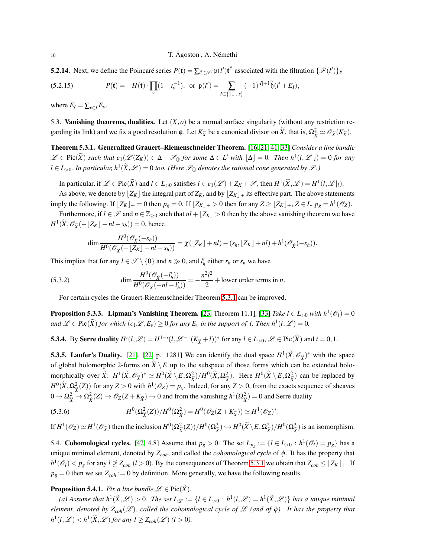**5.2.14.** Next, we define the Poincaré series  $P(\mathbf{t}) = \sum_{l' \in \mathcal{S}'} \mathfrak{p}(l') \mathbf{t}^{l'}$  associated with the filtration  $\{\mathcal{F}(l')\}_{l'}$ 

<span id="page-9-6"></span>(5.2.15) 
$$
P(\mathbf{t}) = -H(\mathbf{t}) \cdot \prod_{v} (1 - t_v^{-1}), \text{ or } \mathfrak{p}(l') = \sum_{I \subset \{1, ..., s\}} (-1)^{|I| + 1} \widetilde{\mathfrak{h}}(l' + E_I),
$$

where  $E_I = \sum_{v \in I} E_v$ .

5.3. **Vanishing theorems, dualities.** Let  $(X, o)$  be a normal surface singularity (without any restriction regarding its link) and we fix a good resolution  $\phi$ . Let  $K_{\tilde{X}}$  be a canonical divisor on  $\tilde{X}$ , that is,  $\Omega_{\tilde{X}}^2 \simeq \mathscr{O}_{\tilde{X}}(K_{\tilde{X}})$ .

Theorem 5.3.1. Generalized Grauert–Riemenschneider Theorem. [\[16,](#page-21-11) [21,](#page-22-19) [41,](#page-22-20) [33\]](#page-22-21) *Consider a line bundle*  $\mathscr{L} \in \text{Pic}(\widetilde{X})$  *such that*  $c_1(\mathscr{L}(Z_K)) \in \Delta - \mathscr{S}_{\mathbb{Q}}$  *for some*  $\Delta \in L'$  *with*  $\lfloor \Delta \rfloor = 0$ *. Then*  $h^1(l, \mathscr{L}|_l) = 0$  *for any*  $l \in L_{>0}$ . In particular,  $h^1(\widetilde{X}, \mathscr{L}) = 0$  too. (Here  $\mathscr{S}_{\mathbb{Q}}$  denotes the rational cone generated by  $\mathscr{S}$ .)

In particular, if  $\mathscr{L} \in \text{Pic}(\widetilde{X})$  and  $l \in L_{>0}$  satisfies  $l \in c_1(\mathscr{L}) + Z_K + \mathscr{S}$ , then  $H^1(\widetilde{X}, \mathscr{L}) = H^1(l, \mathscr{L}|_l)$ .

As above, we denote by  $[Z_K]$  the integral part of  $Z_K$ , and by  $[Z_K]_+$  its effective part. The above statements imply the following. If  $\lfloor Z_K \rfloor_+ = 0$  then  $p_g = 0$ . If  $\lfloor Z_K \rfloor_+ > 0$  then for any  $Z \geq \lfloor Z_K \rfloor_+$ ,  $Z \in L$ ,  $p_g = h^1(\mathcal{O}_Z)$ .

Furthermore, if  $l \in \mathcal{S}$  and  $n \in \mathbb{Z}_{\geq 0}$  such that  $nl + \lfloor Z_K \rfloor > 0$  then by the above vanishing theorem we have  $H^1(\widetilde{X}, \mathscr{O}_{\widetilde{X}}(-\lfloor Z_K \rfloor - nI - s_h)) = 0$ , hence

$$
\dim \frac{H^0(\mathscr{O}_{\widetilde{X}}(-s_h))}{H^0(\mathscr{O}_{\widetilde{X}}(-\lfloor Z_K \rfloor -nI-s_h))} = \chi(\lfloor Z_K \rfloor +nI) - (s_h, \lfloor Z_K \rfloor +nI) + h^1(\mathscr{O}_{\widetilde{X}}(-s_h)).
$$

This implies that for any  $l \in \mathcal{S} \setminus \{0\}$  and  $n \gg 0$ , and  $l'_h$  either  $r_h$  or  $s_h$  we have

(5.3.2) 
$$
\dim \frac{H^0(\mathscr{O}_{\widetilde{X}}(-l'_h))}{H^0(\mathscr{O}_{\widetilde{X}}(-nl-l'_h))} = -\frac{n^2l^2}{2} + \text{lower order terms in } n.
$$

For certain cycles the Grauert-Riemenschneider Theorem [5.3.1](#page-9-2) can be improved.

<span id="page-9-4"></span>**Proposition 5.3.3.** Lipman's Vanishing Theorem. [\[23,](#page-22-22) Theorem 11.1], [\[33\]](#page-22-21) *Take l*  $\in$  *L*<sub>>0</sub> *with*  $h^1(\mathcal{O}_l) = 0$  $\mathscr{L} \in \text{Pic}(\widetilde{X})$  *for which*  $(c_1\mathscr{L}, E_v) \geq 0$  *for any*  $E_v$  *in the support of l. Then*  $h^1(l, \mathscr{L}) = 0$ *.* 

<span id="page-9-0"></span>**5.3.4.** By Serre duality  $H^i(l,\mathcal{L}) = H^{1-i}(l,\mathcal{L}^{-1}(K_{\widetilde{X}}+l))^*$  for any  $l \in L_{>0}, \mathcal{L} \in \text{Pic}(\widetilde{X})$  and  $i = 0, 1$ .

<span id="page-9-1"></span>**5.3.5. Laufer's Duality.** [\[21\]](#page-22-19), [\[22,](#page-22-23) p. 1281] We can identify the dual space  $H^1(\widetilde{X}, \mathcal{O}_{\widetilde{X}})^*$  with the space of global holomorphic 2-forms on  $\widetilde{X} \setminus E$  up to the subspace of those forms which can be extended holomorphically over  $\widetilde{X}$ :  $H^1(\widetilde{X}, \mathcal{O}_{\widetilde{X}})^* \simeq H^0(\widetilde{X} \setminus E, \Omega_{\widetilde{X}}^2)/H^0(\widetilde{X}, \Omega_{\widetilde{X}}^2)$ . Here  $H^0(\widetilde{X} \setminus E, \Omega_{\widetilde{X}}^2)$  can be replaced by  $X^{j}$   $\cdots$   $X^{j}$   $\cdots$   $X^{j}$  $H^0(\widetilde{X}, \Omega^2_{\widetilde{X}}(Z))$  for any  $Z > 0$  with  $h^1(\mathscr{O}_Z) = p_g$ . Indeed, for any  $Z > 0$ , from the exacts sequence of sheaves  $0 \to \Omega_{\tilde{X}}^2 \to \Omega_{\tilde{X}}^2(Z) \to \mathscr{O}_Z(Z + K_{\tilde{X}}) \to 0$  and from the vanishing  $h^1(\Omega_{\tilde{X}}^2) = 0$  and Serre duality

<span id="page-9-5"></span>(5.3.6) 
$$
H^{0}(\Omega_{\tilde{X}}^{2}(Z))/H^{0}(\Omega_{\tilde{X}}^{2})=H^{0}(\mathscr{O}_{Z}(Z+K_{\tilde{X}}))\simeq H^{1}(\mathscr{O}_{Z})^{*}.
$$

If  $H^1(\mathcal{O}_Z) \simeq H^1(\mathcal{O}_{\widetilde{X}})$  then the inclusion  $H^0(\Omega_{\widetilde{X}}^2(Z))/H^0(\Omega_{\widetilde{X}}^2) \hookrightarrow H^0(\widetilde{X} \setminus E, \Omega_{\widetilde{X}}^2)/H^0(\Omega_{\widetilde{X}}^2)$  is an isomorphism.

<span id="page-9-3"></span>5.4. Cohomological cycles. [\[42,](#page-22-24) 4.8] Assume that  $p_g > 0$ . The set  $L_{p_g} := \{l \in L_{>0} : h^1(\mathcal{O}_l) = p_g\}$  has a unique minimal element, denoted by *Zcoh*, and called the *cohomological cycle* of φ. It has the property that  $h^1(\mathcal{O}_l) < p_g$  for any  $l \not\geq Z_{coh}$  (*l* > 0). By the consequences of Theorem [5.3.1](#page-9-2) we obtain that  $Z_{coh} \leq \lfloor Z_K \rfloor_+$ . If  $p_g = 0$  then we set  $Z_{coh} := 0$  by definition. More generally, we have the following results.

# <span id="page-9-2"></span>**Proposition 5.4.1.** *Fix a line bundle*  $\mathscr{L} \in \text{Pic}(\widetilde{X})$ *.*

 $(a)$  Assume that  $h^1(\widetilde{X}, \mathscr{L}) > 0$ . The set  $L_{\mathscr{L}} := \{l \in L_{>0} : h^1(l, \mathscr{L}) = h^1(\widetilde{X}, \mathscr{L})\}$  has a unique minimal *element, denoted by*  $Z_{coh}(\mathscr{L})$ *, called the cohomological cycle of*  $\mathscr{L}$  *(and of*  $\phi$ *). It has the property that*  $h^1(l,\mathscr{L}) < h^1(\widetilde{X},\mathscr{L})$  for any  $l \not\geq Z_{coh}(\mathscr{L})$   $(l > 0)$ .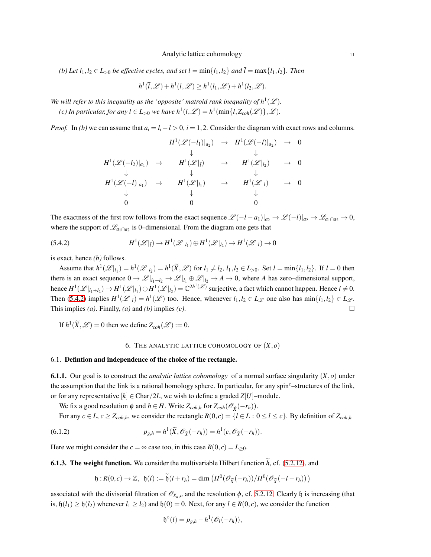*(b) Let*  $l_1, l_2 \in L_{>0}$  *be effective cycles, and set*  $l = \min\{l_1, l_2\}$  *and*  $\overline{l} = \max\{l_1, l_2\}$ *. Then* 

$$
h^1(\overline{l}, \mathscr{L}) + h^1(l, \mathscr{L}) \ge h^1(l_1, \mathscr{L}) + h^1(l_2, \mathscr{L}).
$$

We will refer to this inequality as the 'opposite' matroid rank inequality of  $h^1(\mathscr{L})$ .

*(c)* In particular, for any  $l \in L_{>0}$  we have  $h^1(l,\mathscr{L}) = h^1(\min\{l,Z_{coh}(\mathscr{L})\},\mathscr{L})$ .

*Proof.* In *(b)* we can assume that  $a_i = l_i - l > 0$ ,  $i = 1, 2$ . Consider the diagram with exact rows and columns.

$$
H^{1}(\mathscr{L}(-l_{1})|_{a_{2}}) \rightarrow H^{1}(\mathscr{L}(-l)|_{a_{2}}) \rightarrow 0
$$
  
\n
$$
\downarrow \qquad \qquad \downarrow
$$
  
\n
$$
H^{1}(\mathscr{L}(-l_{2})|_{a_{1}}) \rightarrow H^{1}(\mathscr{L}|_{\bar{l}}) \rightarrow H^{1}(\mathscr{L}|_{l_{2}}) \rightarrow 0
$$
  
\n
$$
\downarrow \qquad \qquad \downarrow \qquad \qquad \downarrow
$$
  
\n
$$
H^{1}(\mathscr{L}(-l)|_{a_{1}}) \rightarrow H^{1}(\mathscr{L}|_{l_{1}}) \rightarrow H^{1}(\mathscr{L}|_{l}) \rightarrow 0
$$
  
\n
$$
\downarrow \qquad \qquad \downarrow
$$
  
\n0 0 0

The exactness of the first row follows from the exact sequence  $\mathcal{L}(-l-a_1)|_{a_2} \to \mathcal{L}(-l)|_{a_2} \to \mathcal{L}_{a_1 \cap a_2} \to 0$ , where the support of  $\mathcal{L}_{a_1 \cap a_2}$  is 0–dimensional. From the diagram one gets that

<span id="page-10-0"></span>(5.4.2) 
$$
H^1(\mathscr{L}|_{\bar{l}}) \to H^1(\mathscr{L}|_{l_1}) \oplus H^1(\mathscr{L}|_{l_2}) \to H^1(\mathscr{L}|_{l}) \to 0
$$

is exact, hence *(b)* follows.

Assume that  $h^1(\mathcal{L}|_{l_1}) = h^1(\mathcal{L}|_{l_2}) = h^1(\tilde{X}, \mathcal{L})$  for  $l_1 \neq l_2, l_1, l_2 \in L_{>0}$ . Set  $l = \min\{l_1, l_2\}$ . If  $l = 0$  then there is an exact sequence  $0 \to \mathcal{L}|_{l_1+l_2} \to \mathcal{L}|_{l_1} \oplus \mathcal{L}|_{l_2} \to A \to 0$ , where *A* has zero–dimensional support, hence  $H^1(\mathscr{L}|_{l_1+l_2}) \to H^1(\mathscr{L}|_{l_1}) \oplus H^1(\mathscr{L}|_{l_2}) = \mathbb{C}^{2h^1(\mathscr{L})}$  surjective, a fact which cannot happen. Hence  $l \neq 0$ . Then [\(5.4.2\)](#page-10-0) implies  $H^1(\mathcal{L}|_l) = h^1(\mathcal{L})$  too. Hence, whenever  $l_1, l_2 \in L_{\mathcal{L}}$  one also has  $\min\{l_1, l_2\} \in L_{\mathcal{L}}$ . This implies (*a*). Finally, (*a*) and (*b*) implies (*c*).

If  $h^1(\widetilde{X}, \mathscr{L}) = 0$  then we define  $Z_{coh}(\mathscr{L}) := 0$ .

#### 6. THE ANALYTIC LATTICE COHOMOLOGY OF  $(X, o)$

## 6.1. Defintion and independence of the choice of the rectangle.

6.1.1. Our goal is to construct the *analytic lattice cohomology* of a normal surface singularity (*X*,*o*) under the assumption that the link is a rational homology sphere. In particular, for any spin*c*–structures of the link, or for any representative  $[k] \in \text{Char}/2L$ , we wish to define a graded  $Z[U]$ –module.

We fix a good resolution  $\phi$  and  $h \in H$ . Write  $Z_{coh,h}$  for  $Z_{coh}(\mathcal{O}_{\widetilde{X}}(-r_h))$ .

For any  $c \in L$ ,  $c \ge Z_{coh,h}$ , we consider the rectangle  $R(0,c) = \{l \in L : 0 \le l \le c\}$ . By definition of  $Z_{coh,h}$ 

(6.1.2) 
$$
p_{g,h} = h^1(\widetilde{X}, \mathscr{O}_{\widetilde{X}}(-r_h)) = h^1(c, \mathscr{O}_{\widetilde{X}}(-r_h)).
$$

Here we might consider the  $c = \infty$  case too, in this case  $R(0, c) = L_{\geq 0}$ .

**6.1.3. The weight function.** We consider the multivariable Hilbert function  $\tilde{h}$ , cf. [\(5.2.12\)](#page-8-2), and

$$
\mathfrak{h}:R(0,c)\to\mathbb{Z},\ \mathfrak{h}(l):=\widetilde{\mathfrak{h}}(l+r_h)=\dim\left(H^0(\mathscr{O}_{\widetilde{X}}(-r_h))/H^0(\mathscr{O}_{\widetilde{X}}(-l-r_h))\right)
$$

associated with the divisorial filtration of  $\mathcal{O}_{X_a, o}$  and the resolution  $\phi$ , cf. [5.2.12.](#page-8-2) Clearly  $\phi$  is increasing (that is,  $h(t_1) \ge h(t_2)$  whenever  $t_1 \ge t_2$ ) and  $h(0) = 0$ . Next, for any  $l \in R(0, c)$ , we consider the function

$$
\mathfrak{h}^{\circ}(l) = p_{g,h} - h^1(\mathscr{O}_l(-r_h)),
$$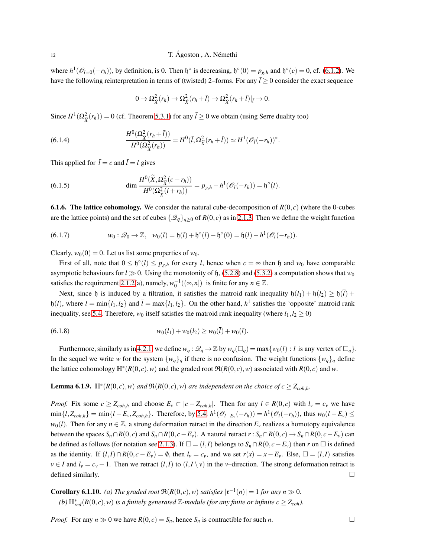where  $h^1(\mathcal{O}_{l=0}(-r_h))$ , by definition, is 0. Then  $\mathfrak{h}^{\circ}$  is decreasing,  $\mathfrak{h}^{\circ}(0) = p_{g,h}$  and  $\mathfrak{h}^{\circ}(c) = 0$ , cf. [\(6.1.2\)](#page-17-0). We have the following reinterpretation in terms of (twisted) 2–forms. For any  $\bar{l} \ge 0$  consider the exact sequence

$$
0 \to \Omega_{\tilde{X}}^2(r_h) \to \Omega_{\tilde{X}}^2(r_h+\bar{l}) \to \Omega_{\tilde{X}}^2(r_h+\bar{l})|_{\bar{l}} \to 0.
$$

Since  $H^1(\Omega^2_{\tilde{X}}(r_h)) = 0$  (cf. Theorem [5.3.1\)](#page-9-2) for any  $\bar{l} \ge 0$  we obtain (using Serre duality too)

(6.1.4) 
$$
\frac{H^{0}(\Omega_{\tilde{X}}^{2}(r_{h}+\bar{l}))}{H^{0}(\Omega_{\tilde{X}}^{2}(r_{h}))}=H^{0}(\bar{l},\Omega_{\tilde{X}}^{2}(r_{h}+\bar{l}))\simeq H^{1}(\mathscr{O}_{\bar{l}}(-r_{h}))^{*}.
$$

This applied for  $\bar{l} = c$  and  $\bar{l} = l$  gives

(6.1.5) 
$$
\dim \frac{H^0(\widetilde{X}, \Omega_{\widetilde{X}}^2(c+r_h))}{H^0(\Omega_{\widetilde{X}}^2(l+r_h))} = p_{g,h} - h^1(\mathscr{O}_l(-r_h)) = \mathfrak{h}^\circ(l).
$$

**6.1.6. The lattice cohomology.** We consider the natural cube-decomposition of  $R(0, c)$  (where the 0-cubes are the lattice points) and the set of cubes  $\{\mathscr{Q}_q\}_{q>0}$  of  $R(0,c)$  as in [2.1.3.](#page-3-3) Then we define the weight function

(6.1.7) 
$$
w_0: \mathcal{Q}_0 \to \mathbb{Z}, \quad w_0(l) = \mathfrak{h}(l) + \mathfrak{h}^\circ(l) - \mathfrak{h}^\circ(0) = \mathfrak{h}(l) - h^1(\mathcal{O}_l(-r_h)).
$$

Clearly,  $w_0(0) = 0$ . Let us list some properties of  $w_0$ .

First of all, note that  $0 \leq \mathfrak{h}^{\circ}(l) \leq p_{g,h}$  for every *l*, hence when  $c = \infty$  then  $\mathfrak{h}$  and  $w_0$  have comparable asymptotic behaviours for  $l \gg 0$ . Using the monotonity of h, [\(5.2.8\)](#page-8-3) and [\(5.3.2\)](#page-10-0) a computation shows that  $w_0$ satisfies the requirement [2.1.2\(](#page-3-1)a), namely,  $w_0^{-1}((\infty, n])$  is finite for any  $n \in \mathbb{Z}$ .

Next, since h is induced by a filtration, it satisfies the matroid rank inequality  $h(l_1) + h(l_2) \ge h(\overline{l}) +$  $h(l)$ , where  $l = \min\{l_1, l_2\}$  and  $\overline{l} = \max\{l_1, l_2\}$ . On the other hand,  $h^1$  satisfies the 'opposite' matroid rank inequality, see [5.4.](#page-9-3) Therefore,  $w_0$  itself satisfies the matroid rank inequality (where  $l_1, l_2 \ge 0$ )

$$
(6.1.8) \t w_0(l_1) + w_0(l_2) \geq w_0(\overline{l}) + w_0(l).
$$

Furthermore, similarly as in [4.2.1,](#page-5-0) we define  $w_q : \mathcal{Q}_q \to \mathbb{Z}$  by  $w_q(\Box_q) = \max\{w_0(l) : l \text{ is any vertex of } \Box_q\}.$ In the sequel we write *w* for the system  $\{w_q\}_q$  if there is no confusion. The weight functions  $\{w_q\}_q$  define the lattice cohomology  $\mathbb{H}^*(R(0,c), w)$  and the graded root  $\mathfrak{R}(R(0,c), w)$  associated with  $R(0,c)$  and w.

**Lemma 6.1.9.**  $\mathbb{H}^*(R(0,c), w)$  *and*  $\mathfrak{R}(R(0,c), w)$  *are independent on the choice of*  $c \geq Z_{coh,h}$ *.* 

*Proof.* Fix some  $c \ge Z_{coh,h}$  and choose  $E_v \subset |c - Z_{coh,h}|$ . Then for any  $l \in R(0,c)$  with  $l_v = c_v$  we have  $\min\{l, Z_{coh,h}\} = \min\{l - E_v, Z_{coh,h}\}.$  Therefore, by [5.4,](#page-9-3)  $h^1(\mathcal{O}_{l-E_v}(-r_h)) = h^1(\mathcal{O}_l(-r_h))$ , thus  $w_0(l - E_v) \le$  $w_0(l)$ . Then for any  $n \in \mathbb{Z}$ , a strong deformation retract in the direction  $E_v$  realizes a homotopy equivalence between the spaces  $S_n \cap R(0, c)$  and  $S_n \cap R(0, c - E_v)$ . A natural retract  $r : S_n \cap R(0, c) \to S_n \cap R(0, c - E_v)$  can be defined as follows (for notation see [2.1.3\)](#page-3-3). If  $\square = (l, l)$  belongs to  $S_n ∩ R(0, c - E_v)$  then *r* on  $\square$  is defined as the identity. If  $(l, I) \cap R(0, c - E_v) = \emptyset$ , then  $l_v = c_v$ , and we set  $r(x) = x - E_v$ . Else,  $\square = (l, I)$  satisfies  $v \in I$  and  $l_v = c_v - 1$ . Then we retract  $(l, I)$  to  $(l, I \setminus v)$  in the *v*–direction. The strong deformation retract is defined similarly.  $\Box$ 

**Corollary 6.1.10.** *(a) The graded root*  $\Re(R(0,c), w)$  *satisfies*  $|\mathfrak{r}^{-1}(n)| = 1$  *for any*  $n \gg 0$ *.*  $(a) \mathbb{H}^*_{red}(R(0,c), w)$  *is a finitely generated*  $\mathbb{Z}$ *-module (for any finite or infinite*  $c \geq Z_{coh}$ *).* 

*Proof.* For any  $n \gg 0$  we have  $R(0,c) = S_n$ , hence  $S_n$  is contractible for such *n*.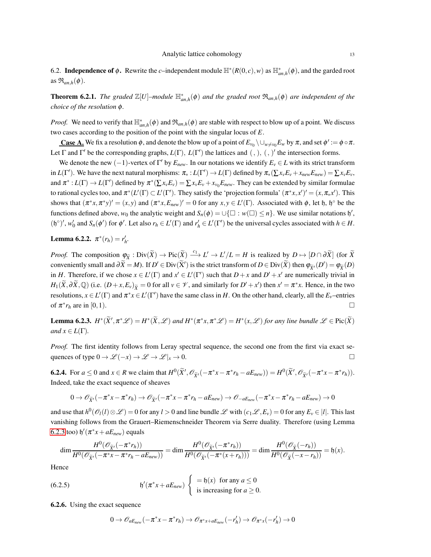6.2. **Independence of** φ. Rewrite the *c*−independent module  $\mathbb{H}^*(R(0,c), w)$  as  $\mathbb{H}^*_{an,h}(φ)$ , and the garded root as  $\mathfrak{R}_{an,h}(\phi)$ .

**Theorem 6.2.1.** The graded  $\mathbb{Z}[U]$ -module  $\mathbb{H}_{an,h}^*(\phi)$  and the graded root  $\mathfrak{R}_{an,h}(\phi)$  are independent of the *choice of the resolution* φ*.*

*Proof.* We need to verify that  $\mathbb{H}_{an,h}^*(\phi)$  and  $\mathfrak{R}_{an,h}(\phi)$  are stable with respect to blow up of a point. We discuss two cases according to the position of the point with the singular locus of *E*.

**Case A.** We fix a resolution  $\phi$ , and denote the blow up of a point of  $E_{v_0} \setminus \bigcup_{w \neq v_0} E_w$  by  $\pi$ , and set  $\phi' := \phi \circ \pi$ . Let  $\Gamma$  and  $\Gamma'$  be the corresponding graphs,  $L(\Gamma)$ ,  $L(\Gamma')$  the lattices and  $(,)$ ,  $(,)$ ' the intersection forms.

We denote the new  $(-1)$ -vertex of  $\Gamma'$  by  $E_{new}$ . In our notations we identify  $E_v \in L$  with its strict transform in  $L(\Gamma')$ . We have the next natural morphisms:  $\pi_* : L(\Gamma') \to L(\Gamma)$  defined by  $\pi_*(\sum x_v E_v + x_{new} E_{new}) = \sum x_v E_v$ , and  $\pi^*: L(\Gamma) \to L(\Gamma')$  defined by  $\pi^*(\sum x_\nu E_\nu) = \sum x_\nu E_\nu + x_{\nu_0} E_{new}$ . They can be extended by similar formulae to rational cycles too, and  $\pi^*(L'(\Gamma) \subset L'(\Gamma')$ . They satisfy the 'projection formula'  $(\pi^*x, x')' = (x, \pi_*x')$ . This shows that  $(\pi^*x, \pi^*y)' = (x, y)$  and  $(\pi^*x, E_{new})' = 0$  for any  $x, y \in L'(\Gamma)$ . Associated with  $\phi$ , let h, h<sup>o</sup> be the functions defined above,  $w_0$  the analytic weight and  $S_n(\phi) = \cup \{\Box : w(\Box) \leq n\}$ . We use similar notations  $\mathfrak{h}'$ , (h<sup>o</sup>)',  $w'_0$  and  $S_n(\phi')$  for  $\phi'$ . Let also  $r_h \in L'(\Gamma)$  and  $r'_h \in L'(\Gamma')$  be the universal cycles associated with  $h \in H$ .

**Lemma 6.2.2.**  $\pi^*(r_h) = r'_h$ .

*Proof.* The composition  $\varphi_{\widetilde{X}} : \text{Div}(\widetilde{X}) \to \text{Pic}(\widetilde{X}) \xrightarrow{c_1} L' \to L'/L = H$  is realized by  $D \mapsto [D \cap \partial \widetilde{X}]$  (for  $\widetilde{X}$ ) conveniently small and  $\partial \widetilde{X} = M$ ). If  $D' \in \text{Div}(\widetilde{X}')$  is the strict transform of  $D \in \text{Div}(\widetilde{X})$  then  $\varphi_{\widetilde{X}'}(D') = \varphi_{\widetilde{X}}(D)$ in *H*. Therefore, if we chose  $x \in L'(\Gamma)$  and  $x' \in L'(\Gamma')$  such that  $D + x$  and  $D' + x'$  are numerically trivial in  $H_1(\widetilde{X},\partial \widetilde{X},\mathbb{Q})$  (i.e.  $(D+x,E_v)_{\widetilde{X}}=0$  for all  $v \in \mathscr{V}$ , and similarly for  $D'+x'$ ) then  $x'=\pi^*x$ . Hence, in the two resolutions,  $x \in L'(\Gamma)$  and  $\pi^*x \in L'(\Gamma')$  have the same class in *H*. On the other hand, clearly, all the  $E_\nu$ -entries of  $\pi^* r_h$  are in [0,1].

<span id="page-12-0"></span>**Lemma 6.2.3.**  $H^*(\widetilde{X}', \pi^*\mathscr{L}) = H^*(\widetilde{X}, \mathscr{L})$  and  $H^*(\pi^*x, \pi^*\mathscr{L}) = H^*(x, \mathscr{L})$  for any line bundle  $\mathscr{L} \in \text{Pic}(\widetilde{X})$ *and*  $x \in L(\Gamma)$ *.* 

*Proof.* The first identity follows from Leray spectral sequence, the second one from the first via exact sequences of type  $0 \to \mathscr{L}(-x) \to \mathscr{L} \to \mathscr{L}|_x \to 0$ .

<span id="page-12-1"></span>**6.2.4.** For  $a \le 0$  and  $x \in R$  we claim that  $H^0(\widetilde{X}', \mathcal{O}_{\widetilde{X}'}(-\pi^*x - \pi^*r_h - aE_{new})) = H^0(\widetilde{X}', \mathcal{O}_{\widetilde{X}'}(-\pi^*x - \pi^*r_h)).$ Indeed, take the exact sequence of sheaves

$$
0 \to \mathscr{O}_{\widetilde{X}'}(-\pi^*x - \pi^*r_h) \to \mathscr{O}_{\widetilde{X}'}(-\pi^*x - \pi^*r_h - aE_{new}) \to \mathscr{O}_{-aE_{new}}(-\pi^*x - \pi^*r_h - aE_{new}) \to 0
$$

and use that  $h^0(\mathcal{O}_l(l) \otimes \mathcal{L}) = 0$  for any  $l > 0$  and line bundle  $\mathcal{L}$  with  $(c_1 \mathcal{L}, E_\nu) = 0$  for any  $E_\nu \in |l|$ . This last vanishing follows from the Grauert–Riemenschneider Theorem via Serre duality. Therefore (using Lemma [6.2.3](#page-12-0) too)  $\mathfrak{h}'(\pi^*x + aE_{new})$  equals

$$
\dim \frac{H^0(\mathscr{O}_{\widetilde{X}'}(-\pi^*r_h))}{H^0(\mathscr{O}_{\widetilde{X}'}(-\pi^*r_n-\pi^*r_h-aE_{new}))} = \dim \frac{H^0(\mathscr{O}_{\widetilde{X}'}(-\pi^*r_h))}{H^0(\mathscr{O}_{\widetilde{X}'}(-\pi^*(x+r_h)))} = \dim \frac{H^0(\mathscr{O}_{\widetilde{X}}(-r_h))}{H^0(\mathscr{O}_{\widetilde{X}}(-x-r_h))} = \mathfrak{h}(x).
$$

Hence

(6.2.5) 
$$
\mathfrak{h}'(\pi^* x + aE_{new}) \left\{ \begin{array}{l} = \mathfrak{h}(x) \text{ for any } a \leq 0 \\ \text{is increasing for } a \geq 0. \end{array} \right.
$$

<span id="page-12-2"></span>6.2.6. Using the exact sequence

<span id="page-12-3"></span>
$$
0 \to \mathscr{O}_{aE_{new}}(-\pi^*x-\pi^*r_h) \to \mathscr{O}_{\pi^*x+aE_{new}}(-r'_h) \to \mathscr{O}_{\pi^*x}(-r'_h) \to 0
$$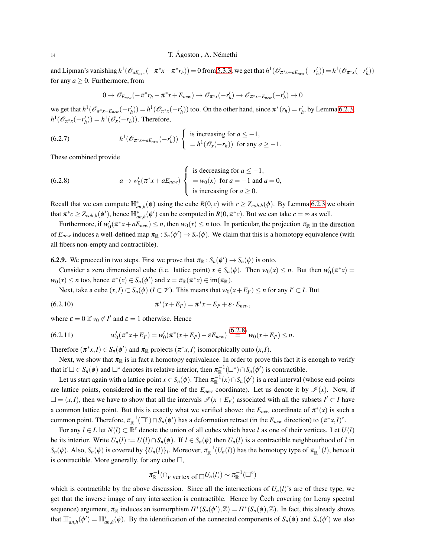and Lipman's vanishing  $h^1(\mathcal{O}_{aE_{new}}(-\pi^*x-\pi^*r_h))=0$  from [5.3.3,](#page-9-4) we get that  $h^1(\mathcal{O}_{\pi^*x+aE_{new}}(-r'_h))=h^1(\mathcal{O}_{\pi^*x}(-r'_h))$ for any  $a \geq 0$ . Furthermore, from

<span id="page-13-3"></span>
$$
0 \to \mathscr{O}_{E_{new}}(-\pi^* r_h - \pi^* x + E_{new}) \to \mathscr{O}_{\pi^* x}(-r'_h) \to \mathscr{O}_{\pi^* x - E_{new}}(-r'_h) \to 0
$$

we get that  $h^1(\mathcal{O}_{\pi^*x-E_{new}}(-r'_h)) = h^1(\mathcal{O}_{\pi^*x}(-r'_h))$  too. On the other hand, since  $\pi^*(r_h) = r'_h$ , by Lemma [6.2.3,](#page-12-0)  $h^1(\mathcal{O}_{\pi^*x}(-r'_h)) = h^1(\mathcal{O}_x(-r_h))$ . Therefore,

(6.2.7) 
$$
h^1(\mathscr{O}_{\pi^*x+aE_{new}}(-r'_h))\begin{cases} \text{ is increasing for } a \leq -1, \\ = h^1(\mathscr{O}_x(-r_h)) \text{ for any } a \geq -1. \end{cases}
$$

These combined provide

<span id="page-13-0"></span>(6.2.8) 
$$
a \mapsto w'_0(\pi^* x + aE_{new}) \begin{cases} \text{is decreasing for } a \leq -1, \\ = w_0(x) \text{ for } a = -1 \text{ and } a = 0, \\ \text{is increasing for } a \geq 0. \end{cases}
$$

Recall that we can compute  $\mathbb{H}_{an,h}^*(\phi)$  using the cube  $R(0,c)$  with  $c \geq Z_{coh,h}(\phi)$ . By Lemma [6.2.3](#page-12-0) we obtain that  $\pi^* c \ge Z_{coh,h}(\phi')$ , hence  $\mathbb{H}_{an,h}^*(\phi')$  can be computed in  $R(0, \pi^* c)$ . But we can take  $c = \infty$  as well.

Furthermore, if  $w'_0(\pi^*x + aE_{new}) \le n$ , then  $w_0(x) \le n$  too. In particular, the projection  $\pi_{\mathbb{R}}$  in the direction of  $E_{new}$  induces a well-defined map  $\pi_{\mathbb{R}}: S_n(\phi') \to S_n(\phi)$ . We claim that this is a homotopy equivalence (with all fibers non-empty and contractible).

<span id="page-13-2"></span>**6.2.9.** We proceed in two steps. First we prove that  $\pi_{\mathbb{R}} : S_n(\phi') \to S_n(\phi)$  is onto.

Consider a zero dimensional cube (i.e. lattice point)  $x \in S_n(\phi)$ . Then  $w_0(x) \le n$ . But then  $w'_0(\pi^*x) =$  $w_0(x) \le n$  too, hence  $\pi^*(x) \in S_n(\phi')$  and  $x = \pi_{\mathbb{R}}(\pi^*x) \in \text{im}(\pi_{\mathbb{R}})$ .

Next, take a cube  $(x, I) \subset S_n(\phi)$  ( $I \subset \mathcal{V}$ ). This means that  $w_0(x + E_{I'}) \le n$  for any  $I' \subset I$ . But

(6.2.10) 
$$
\pi^*(x + E_{I'}) = \pi^*x + E_{I'} + \varepsilon \cdot E_{new},
$$

where  $\varepsilon = 0$  if  $v_0 \notin I'$  and  $\varepsilon = 1$  otherwise. Hence

(6.2.11) 
$$
w'_0(\pi^*x + E_{I'}) = w'_0(\pi^*(x + E_{I'}) - \varepsilon E_{new}) \stackrel{(6.2.8)}{=} w_0(x + E_{I'}) \le n.
$$

Therefore  $(\pi^*x, I) \in S_n(\phi')$  and  $\pi_{\mathbb{R}}$  projects  $(\pi^*x, I)$  isomorphically onto  $(x, I)$ .

Next, we show that  $\pi_{\mathbb{R}}$  is in fact a homotopy equivalence. In order to prove this fact it is enough to verify that if  $\Box \in S_n(\phi)$  and  $\Box^{\circ}$  denotes its relative interior, then  $\pi_{\mathbb{R}}^{-1}(\Box^{\circ}) \cap S_n(\phi')$  is contractible.

<span id="page-13-1"></span> $\sim$   $\sim$ 

Let us start again with a lattice point  $x \in S_n(\phi)$ . Then  $\pi_{\mathbb{R}}^{-1}(x) \cap S_n(\phi')$  is a real interval (whose end-points are lattice points, considered in the real line of the  $E_{new}$  coordinate). Let us denote it by  $\mathscr{I}(x)$ . Now, if  $\square = (x, I)$ , then we have to show that all the intervals  $\mathcal{I}(x + E_{I'})$  associated with all the subsets  $I' \subset I$  have a common lattice point. But this is exactly what we verified above: the  $E_{new}$  coordinate of  $\pi^*(x)$  is such a common point. Therefore,  $\pi_{\mathbb{R}}^{-1}(\Box^{\circ}) \cap S_n(\phi')$  has a deformation retract (in the  $E_{new}$  direction) to  $(\pi^*x,I)^{\circ}$ .

For any  $l \in L$  let  $N(l) \subset \mathbb{R}^s$  denote the union of all cubes which have *l* as one of their vertices. Let  $U(l)$ be its interior. Write  $U_n(l) := U(l) \cap S_n(\phi)$ . If  $l \in S_n(\phi)$  then  $U_n(l)$  is a contractible neighbourhood of *l* in  $S_n(\phi)$ . Also,  $S_n(\phi)$  is covered by  $\{U_n(l)\}_l$ . Moreover,  $\pi_{\mathbb{R}}^{-1}(U_n(l))$  has the homotopy type of  $\pi_{\mathbb{R}}^{-1}(l)$ , hence it is contractible. More generally, for any cube  $\Box$ ,

$$
\pi_{\mathbb{R}}^{-1}(\bigcap_{\mathcal{V} \text{ vertex of } \Box} U_n(l)) \sim \pi_{\mathbb{R}}^{-1}(\Box^{\circ})
$$

which is contractible by the above discussion. Since all the intersections of  $U_n(l)$ 's are of these type, we get that the inverse image of any intersection is contractible. Hence by Čech covering (or Leray spectral sequence) argument,  $\pi_{\mathbb{R}}$  induces an isomorphism  $H^*(S_n(\phi'), \mathbb{Z}) = H^*(S_n(\phi), \mathbb{Z})$ . In fact, this already shows that  $\mathbb{H}_{an,h}^*(\phi') = \mathbb{H}_{an,h}^*(\phi)$ . By the identification of the connected components of  $S_n(\phi)$  and  $S_n(\phi')$  we also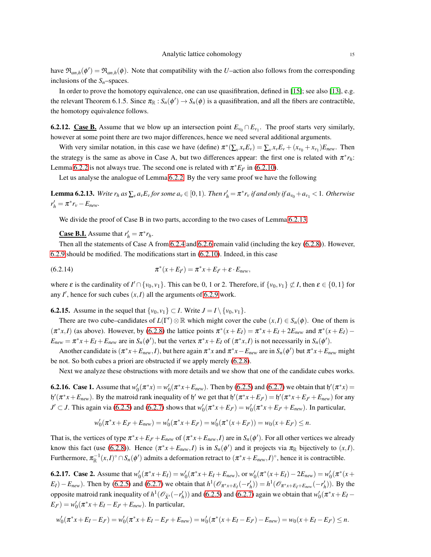have  $\mathfrak{R}_{an,h}(\phi') = \mathfrak{R}_{an,h}(\phi)$ . Note that compatibility with the *U*–action also follows from the corresponding inclusions of the *Sn*–spaces.

In order to prove the homotopy equivalence, one can use quasifibration, defined in [\[15\]](#page-21-12); see also [\[13\]](#page-21-13), e.g. the relevant Theorem 6.1.5. Since  $\pi_{\mathbb{R}}: S_n(\phi') \to S_n(\phi)$  is a quasifibration, and all the fibers are contractible, the homotopy equivalence follows.

6.2.12. Case B. Assume that we blow up an intersection point  $E_{v_0} \cap E_{v_1}$ . The proof starts very similarly, however at some point there are two major differences, hence we need several additional arguments.

With very similar notation, in this case we have (define)  $\pi^*(\sum_{v} x_v E_v) = \sum_{v} x_v E_v + (x_{v_0} + x_{v_1}) E_{new}$ . Then the strategy is the same as above in Case A, but two differences appear: the first one is related with  $\pi^* r_h$ : Lemma [6.2.2](#page-17-0) is not always true. The second one is related with  $\pi^* E_{I'}$  in [\(6.2.10\)](#page-13-1).

Let us analyse the analogue of Lemma [6.2.2.](#page-17-0) By the very same proof we have the following

<span id="page-14-0"></span>**Lemma 6.2.13.** Write  $r_h$  as  $\sum_{v} a_v E_v$  for some  $a_v \in [0,1)$ . Then  $r'_h = \pi^* r_v$  if and only if  $a_{v_0} + a_{v_1} < 1$ . Otherwise  $r'_h = \pi^* r_v - E_{new}$ .

We divide the proof of Case B in two parts, according to the two cases of Lemma [6.2.13.](#page-14-0)

<span id="page-14-1"></span>**Case B.I.** Assume that  $r'_h = \pi^* r_h$ .

Then all the statements of Case A from [6.2.4](#page-12-1) and [6.2.6](#page-12-2) remain valid (including the key [\(6.2.8\)](#page-13-0)). However, [6.2.9](#page-13-2) should be modified. The modifications start in [\(6.2.10\)](#page-13-1). Indeed, in this case

 $(6.2.14)$  $*(x + E_{I'}) = \pi^* x + E_{I'} + \varepsilon \cdot E_{new},$ 

where  $\varepsilon$  is the cardinality of  $I' \cap \{v_0, v_1\}$ . This can be 0, 1 or 2. Therefore, if  $\{v_0, v_1\} \not\subset I$ , then  $\varepsilon \in \{0, 1\}$  for any  $I'$ , hence for such cubes  $(x, I)$  all the arguments of [6.2.9](#page-13-2) work.

<span id="page-14-2"></span>**6.2.15.** Assume in the sequel that  $\{v_0, v_1\} \subset I$ . Write  $J = I \setminus \{v_0, v_1\}$ .

There are two cube–candidates of  $L(\Gamma') \otimes \mathbb{R}$  which might cover the cube  $(x, I) \in S_n(\phi)$ . One of them is  $(\pi^*x,I)$  (as above). However, by [\(6.2.8\)](#page-13-0) the lattice points  $\pi^*(x+E_I) = \pi^*x + E_I + 2E_{new}$  and  $\pi^*(x+E_I)$  $E_{new} = \pi^* x + E_I + E_{new}$  are in  $S_n(\phi)$ , but the vertex  $\pi^* x + E_I$  of  $(\pi^* x, I)$  is not necessarily in  $S_n(\phi')$ .

Another candidate is  $(\pi^*x + E_{new}, I)$ , but here again  $\pi^*x$  and  $\pi^*x - E_{new}$  are in  $S_n(\phi')$  but  $\pi^*x + E_{new}$  might be not. So both cubes a priori are obstructed if we apply merely [\(6.2.8\)](#page-13-0).

Next we analyze these obstructions with more details and we show that one of the candidate cubes works.

<span id="page-14-3"></span>**6.2.16.** Case 1. Assume that  $w'_0(\pi^*x) = w'_0(\pi^*x + E_{new})$ . Then by [\(6.2.5\)](#page-12-3) and [\(6.2.7\)](#page-13-3) we obtain that  $\mathfrak{h}'(\pi^*x) =$  $\mathfrak{h}'(\pi^*x + E_{new})$ . By the matroid rank inequality of  $\mathfrak{h}'$  we get that  $\mathfrak{h}'(\pi^*x + E_{J'}) = \mathfrak{h}'(\pi^*x + E_{J'} + E_{new})$  for any  $J' \subset J$ . This again via [\(6.2.5\)](#page-12-3) and [\(6.2.7\)](#page-13-3) shows that  $w'_0(\pi^*x + E_{J'}) = w'_0(\pi^*x + E_{J'} + E_{new})$ . In particular,

$$
w'_0(\pi^*x + E_{J'} + E_{new}) = w'_0(\pi^*x + E_{J'}) = w'_0(\pi^*(x + E_{J'})) = w_0(x + E_{J'}) \le n.
$$

That is, the vertices of type  $\pi^* x + E_{J'} + E_{new}$  of  $(\pi^* x + E_{new}, I)$  are in  $S_n(\phi')$ . For all other vertices we already know this fact (use [\(6.2.8\)](#page-13-0)). Hence  $(\pi^* x + E_{new}, I)$  is in  $S_n(\phi')$  and it projects via  $\pi_{\mathbb{R}}$  bijectively to  $(x, I)$ . Furthermore,  $\pi_{\mathbb{R}}^{-1}(x, I) \circ \cap S_n(\phi')$  admits a deformation retract to  $(\pi^*x + E_{new}, I) \circ$ , hence it is contractible.

<span id="page-14-4"></span>**6.2.17.** Case 2. Assume that  $w'_0(\pi^*x + E_I) = w'_0(\pi^*x + E_I + E_{new})$ , or  $w'_0(\pi^*(x + E_I) - 2E_{new}) = w'_0(\pi^*(x + E_I))$  $E_I) - E_{new}$ ). Then by [\(6.2.5\)](#page-12-3) and [\(6.2.7\)](#page-13-3) we obtain that  $h^1(\mathcal{O}_{\pi^*x+E_I}(-r'_h)) = h^1(\mathcal{O}_{\pi^*x+E_I+E_{new}}(-r'_h))$ . By the opposite matroid rank inequality of  $h^1(\mathcal{O}_{\tilde{X}'}(-r'_h))$  and [\(6.2.5\)](#page-12-3) and [\(6.2.7\)](#page-13-3) again we obtain that  $w'_0(\pi^*x+E_I-\pi^*Y_h)$  $(E_{J'}) = w'_{0}(\pi^*x + E_{I} - E_{J'} + E_{new})$ . In particular,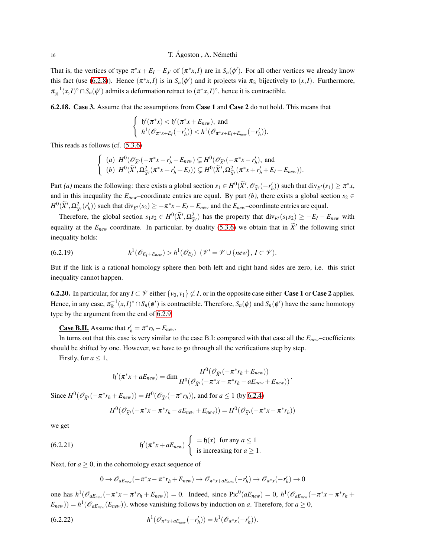That is, the vertices of type  $\pi^* x + E_I - E_{J'}$  of  $(\pi^* x, I)$  are in  $S_n(\phi')$ . For all other vertices we already know this fact (use [\(6.2.8\)](#page-13-0)). Hence  $(\pi^*x, I)$  is in  $S_n(\phi')$  and it projects via  $\pi_{\mathbb{R}}$  bijectively to  $(x, I)$ . Furthermore,  $\pi_{\mathbb{R}}^{-1}(x,I) \circ \cap S_n(\phi')$  admits a deformation retract to  $(\pi^*x,I) \circ$ , hence it is contractible.

<span id="page-15-1"></span>6.2.18. Case 3. Assume that the assumptions from Case 1 and Case 2 do not hold. This means that

$$
\left\{\begin{array}{ll} \mathfrak{h}'(\pi^*x)<\mathfrak{h}'(\pi^*x+E_{new}), \text{ and} \\ h^1(\mathscr{O}_{\pi^*x+E_I}(-r'_h))< h^1(\mathscr{O}_{\pi^*x+E_I+E_{new}}(-r'_h)).\end{array}\right.
$$

This reads as follows (cf. [\(5.3.6\)](#page-9-5)

$$
\begin{cases}\n(a) \ H^0(\mathscr{O}_{\widetilde{X}'}(-\pi^*x - r'_h - E_{new}) \subsetneq H^0(\mathscr{O}_{\widetilde{X}'}(-\pi^*x - r'_h), \text{ and} \\
(b) \ H^0(\widetilde{X}', \Omega_{\widetilde{X}'}^2(\pi^*x + r'_h + E_I)) \subsetneq H^0(\widetilde{X}', \Omega_{\widetilde{X}'}^2(\pi^*x + r'_h + E_I + E_{new})).\n\end{cases}
$$

Part *(a)* means the following: there exists a global section  $s_1 \in H^0(\tilde{X}', \mathcal{O}_{\tilde{X}'}(-r'_h))$  such that  $\text{div}_{E'}(s_1) \geq \pi^*x$ , and in this inequality the  $E_{new}$ –coordinate entries are equal. By part *(b)*, there exists a global section  $s_2 \in$  $H^0(\widetilde{X}', \Omega^2_{\widetilde{X}'}(r'_h))$  such that div $_{E'}(s_2) \ge -\pi^* x - E_I - E_{new}$  and the  $E_{new}$ -coordinate entries are equal.

Therefore, the global section  $s_1 s_2 \in H^0(\tilde{X}', \Omega_{\tilde{X}'}^2)$  has the property that  $\text{div}_{E'}(s_1 s_2) \ge -E_I - E_{new}$  with equality at the  $E_{new}$  coordinate. In particular, by duality [\(5.3.6\)](#page-9-5) we obtain that in  $\tilde{X}'$  the following strict inequality holds:

<span id="page-15-2"></span>(6.2.19) 
$$
h^1(\mathscr{O}_{E_I+E_{new}}) > h^1(\mathscr{O}_{E_I}) \quad (\mathscr{V}'=\mathscr{V}\cup\{new\},\,I\subset\mathscr{V}).
$$

But if the link is a rational homology sphere then both left and right hand sides are zero, i.e. this strict inequality cannot happen.

**6.2.20.** In particular, for any  $I \subset \mathcal{V}$  either  $\{v_0, v_1\} \not\subset I$ , or in the opposite case either **Case 1** or **Case 2** applies. Hence, in any case,  $\pi_{\mathbb{R}}^{-1}(x,I) \circ \cap S_n(\phi')$  is contractible. Therefore,  $S_n(\phi)$  and  $S_n(\phi')$  have the same homotopy type by the argument from the end of [6.2.9.](#page-13-2)

**<u>Case B.II.**</u> Assume that  $r'_h = \pi^* r_h - E_{new}$ .

In turns out that this case is very similar to the case B.I: compared with that case all the *Enew*–coefficients should be shifted by one. However, we have to go through all the verifications step by step.

Firstly, for  $a \leq 1$ ,

$$
\mathfrak{h}'(\pi^*x+aE_{new})=\dim\frac{H^0(\mathscr{O}_{\widetilde{X}'}(-\pi^*r_h+E_{new}))}{H^0(\mathscr{O}_{\widetilde{X}'}(-\pi^*x-\pi^*r_h-aE_{new}+E_{new}))}.
$$

Since  $H^0(\mathcal{O}_{\tilde{X}'}(-\pi^*r_h + E_{new})) = H^0(\mathcal{O}_{\tilde{X}'}(-\pi^*r_h))$ , and for  $a \le 1$  (by [6.2.4\)](#page-12-1)

$$
H^0(\mathscr{O}_{\widetilde{X}'}(-\pi^*x-\pi^*r_h-aE_{new}+E_{new}))=H^0(\mathscr{O}_{\widetilde{X}'}(-\pi^*x-\pi^*r_h))
$$

we get

(6.2.21) 
$$
\mathfrak{h}'(\pi^* x + aE_{new}) \left\{ \begin{array}{c} = \mathfrak{h}(x) \text{ for any } a \le 1 \\ \text{is increasing for } a \ge 1. \end{array} \right.
$$

Next, for  $a \ge 0$ , in the cohomology exact sequence of

<span id="page-15-0"></span>
$$
0 \to \mathscr{O}_{aE_{new}}(-\pi^*x - \pi^*r_h + E_{new}) \to \mathscr{O}_{\pi^*x + aE_{new}}(-r'_h) \to \mathscr{O}_{\pi^*x}(-r'_h) \to 0
$$

one has  $h^1(\mathcal{O}_{aE_{new}}(-\pi^*x - \pi^*r_h + E_{new})) = 0$ . Indeed, since Pic<sup>0</sup>( $aE_{new}$ ) = 0,  $h^1(\mathcal{O}_{aE_{new}}(-\pi^*x - \pi^*r_h + E_{new})) = 0$ .  $(E_{new}) = h^1(\mathcal{O}_{aE_{new}}(E_{new}))$ , whose vanishing follows by induction on *a*. Therefore, for  $a \ge 0$ ,

(6.2.22) 
$$
h^1(\mathcal{O}_{\pi^*x+aE_{new}}(-r'_h))=h^1(\mathcal{O}_{\pi^*x}(-r'_h)).
$$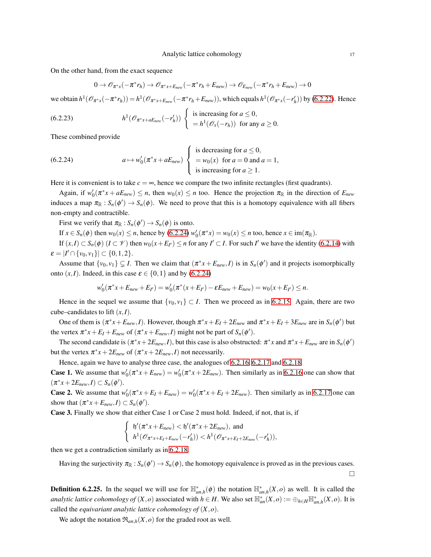On the other hand, from the exact sequence

$$
0 \to \mathscr{O}_{\pi^*x}(-\pi^*r_h) \to \mathscr{O}_{\pi^*x+E_{new}}(-\pi^*r_h+E_{new}) \to \mathscr{O}_{E_{new}}(-\pi^*r_h+E_{new}) \to 0
$$

we obtain  $h^1(\mathcal{O}_{\pi^*x}(-\pi^*r_h)) = h^1(\mathcal{O}_{\pi^*x + E_{new}}(-\pi^*r_h + E_{new}))$ , which equals  $h^1(\mathcal{O}_{\pi^*x}(-r'_h))$  by [\(6.2.22\)](#page-15-0). Hence

(6.2.23) 
$$
h^1(\mathscr{O}_{\pi^*x+aE_{new}}(-r'_h))\begin{cases} \text{ is increasing for } a \leq 0, \\ = h^1(\mathscr{O}_x(-r_h)) \text{ for any } a \geq 0. \end{cases}
$$

These combined provide

<span id="page-16-0"></span>(6.2.24) 
$$
a \mapsto w'_0(\pi^* x + aE_{new}) \begin{cases} \text{is decreasing for } a \leq 0, \\ = w_0(x) \text{ for } a = 0 \text{ and } a = 1, \\ \text{is increasing for } a \geq 1. \end{cases}
$$

Here it is convenient is to take  $c = \infty$ , hence we compare the two infinite rectangles (first quadrants).

Again, if  $w'_0(\pi^*x + aE_{new}) \le n$ , then  $w_0(x) \le n$  too. Hence the projection  $\pi_{\mathbb{R}}$  in the direction of  $E_{new}$ induces a map  $\pi_{\mathbb{R}} : S_n(\phi') \to S_n(\phi)$ . We need to prove that this is a homotopy equivalence with all fibers non-empty and contractible.

First we verify that  $\pi_{\mathbb{R}} : S_n(\phi') \to S_n(\phi)$  is onto.

If  $x \in S_n(\phi)$  then  $w_0(x) \le n$ , hence by [\(6.2.24\)](#page-16-0)  $w'_0(\pi^*x) = w_0(x) \le n$  too, hence  $x \in \text{im}(\pi_\mathbb{R})$ .

If  $(x,I) \subset S_n(\phi)$   $(I \subset \mathcal{V})$  then  $w_0(x+E_{I'}) \le n$  for any  $I' \subset I$ . For such *I'* we have the identity [\(6.2.14\)](#page-14-1) with  $\varepsilon = |I' \cap \{v_0, v_1\}| \subset \{0, 1, 2\}.$ 

Assume that  $\{v_0, v_1\} \subsetneq I$ . Then we claim that  $(\pi^*x + E_{new}, I)$  is in  $S_n(\phi')$  and it projects isomorphically onto  $(x, I)$ . Indeed, in this case  $\varepsilon \in \{0, 1\}$  and by [\(6.2.24\)](#page-16-0)

$$
w'_0(\pi^*x + E_{new} + E_{I'}) = w'_0(\pi^*(x + E_{I'}) - \varepsilon E_{new} + E_{new}) = w_0(x + E_{I'}) \le n.
$$

Hence in the sequel we assume that  $\{v_0, v_1\} \subset I$ . Then we proceed as in [6.2.15.](#page-14-2) Again, there are two cube–candidates to lift  $(x, I)$ .

One of them is  $(\pi^*x + E_{new}, I)$ . However, though  $\pi^*x + E_I + 2E_{new}$  and  $\pi^*x + E_I + 3E_{new}$  are in  $S_n(\phi')$  but the vertex  $\pi^* x + E_I + E_{new}$  of  $(\pi^* x + E_{new}, I)$  might not be part of  $S_n(\phi')$ .

The second candidate is  $(\pi^*x + 2E_{new}, I)$ , but this case is also obstructed:  $\pi^*x$  and  $\pi^*x + E_{new}$  are in  $S_n(\phi')$ but the vertex  $\pi^* x + 2E_{new}$  of  $(\pi^* x + 2E_{new}, I)$  not necessarily.

Hence, again we have to analyse three case, the analogues of [6.2.16,](#page-14-3) [6.2.17](#page-14-4) and [6.2.18.](#page-15-1)

**Case 1.** We assume that  $w'_0(\pi^*x + E_{new}) = w'_0(\pi^*x + 2E_{new})$ . Then similarly as in [6.2.16](#page-14-3) one can show that  $(\pi^*x + 2E_{new}, I) \subset S_n(\phi').$ 

**Case 2.** We assume that  $w'_0(\pi^*x + E_I + E_{new}) = w'_0(\pi^*x + E_I + 2E_{new})$ . Then similarly as in [6.2.17](#page-14-4) one can show that  $(\pi^*x + E_{new}, I) \subset S_n(\phi').$ 

Case 3. Finally we show that either Case 1 or Case 2 must hold. Indeed, if not, that is, if

$$
\begin{cases} \n\mathfrak{h}'(\pi^*x + E_{new}) < \mathfrak{h}'(\pi^*x + 2E_{new}), \text{ and} \\
\mathfrak{h}^1(\mathcal{O}_{\pi^*x + E_I + E_{new}}(-r'_h)) < \mathfrak{h}^1(\mathcal{O}_{\pi^*x + E_I + 2E_{new}}(-r'_h)),\n\end{cases}
$$

then we get a contradiction similarly as in [6.2.18.](#page-15-1)

Having the surjectivity  $\pi_{\mathbb{R}} : S_n(\phi') \to S_n(\phi)$ , the homotopy equivalence is proved as in the previous cases.  $\Box$ 

**Definition 6.2.25.** In the sequel we will use for  $\mathbb{H}_{an,h}^*(\phi)$  the notation  $\mathbb{H}_{an,h}^*(X,o)$  as well. It is called the *analytic lattice cohomology of*  $(X, o)$  associated with  $h \in H$ . We also set  $\mathbb{H}_{an}^*(X, o) := \bigoplus_{h \in H} \mathbb{H}_{an,h}^*(X, o)$ . It is called the *equivariant analytic lattice cohomology of* (*X*,*o*).

We adopt the notation  $\mathfrak{R}_{an,h}(X,o)$  for the graded root as well.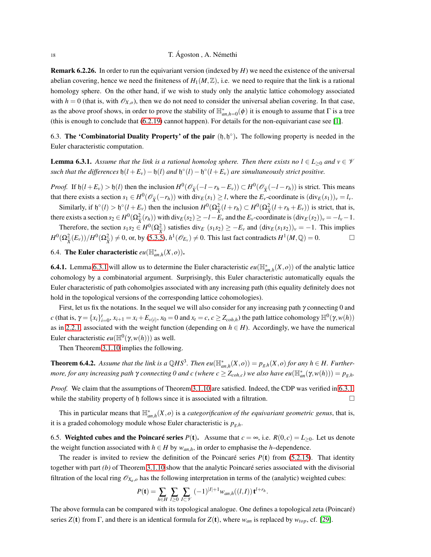# 18 T. Ágoston , A. Némethi

Remark 6.2.26. In order to run the equivariant version (indexed by *H*) we need the existence of the universal abelian covering, hence we need the finiteness of  $H_1(M,\mathbb{Z})$ , i.e. we need to require that the link is a rational homology sphere. On the other hand, if we wish to study only the analytic lattice cohomology associated with  $h = 0$  (that is, with  $\mathcal{O}_{X,o}$ ), then we do not need to consider the universal abelian covering. In that case, as the above proof shows, in order to prove the stability of  $\mathbb{H}^*_{an,h=0}(\phi)$  it is enough to assume that  $\Gamma$  is a tree (this is enough to conclude that [\(6.2.19\)](#page-15-2) cannot happen). For details for the non-equivariant case see [\[1\]](#page-21-6).

6.3. The 'Combinatorial Duality Property' of the pair  $(h, h^{\circ})$ . The following property is needed in the Euler characteristic computation.

**Lemma 6.3.1.** Assume that the link is a rational homolog sphere. Then there exists no  $l \in L_{\geq 0}$  and  $v \in \mathcal{V}$  $such$  that the differences  $\mathfrak{h}(l + E_v) - \mathfrak{h}(l)$  and  $\mathfrak{h}^{\circ}(l) - \mathfrak{h}^{\circ}(l + E_v)$  are simultaneously strict positive.

*Proof.* If  $\mathfrak{h}(l+E_v) > \mathfrak{h}(l)$  then the inclusion  $H^0(\mathcal{O}_{\widetilde{X}}(-l-r_h-E_v)) \subset H^0(\mathcal{O}_{\widetilde{X}}(-l-r_h))$  is strict. This means that there exists a section  $s_1 \in H^0(\mathcal{O}_{\widetilde{X}}(-r_h))$  with  $\text{div}_E(s_1) \ge l$ , where the  $E_v$ -coordinate is  $(\text{div}_E(s_1))_v = l_v$ .

Similarly, if  $\mathfrak{h}^{\circ}(l) > \mathfrak{h}^{\circ}(l + E_v)$  then the inclusion  $H^0(\Omega_{\tilde{X}}^2(l + r_h) \subset H^0(\Omega_{\tilde{X}}^2(l + r_h + E_v))$  is strict, that is, there exists a section  $s_2 \in H^0(\Omega^2_{\widetilde{Y}}(r_h))$  with  $\text{div}_E(s_2) \geq -l - E_v$  and the  $E_v$ -coordinate is  $(\text{div}_E(s_2))_v = -l_v - 1$ .

Therefore, the section  $s_1s_2 \in H^0(\Omega_{\tilde{X}}^2)$  satisfies div<sub>*E*</sub> (*s*<sub>1</sub>*s*<sub>2</sub>) ≥ −*E<sub><i>v*</sub></sub> and (div<sub>*E*</sub>(*s*<sub>1</sub>*s*<sub>2</sub>))*v* = −1. This implies  $H^0(\Omega_{\tilde{X}}^2(E_v))/H^0(\Omega_{\tilde{X}}^2) \neq 0$ , or, by [\(5.3.5\)](#page-9-1),  $h^1(\mathscr{O}_{E_v}) \neq 0$ . This last fact contradicts  $H^1(M,\mathbb{Q}) = 0$ .

# 6.4. The Euler characteristic  $eu(\mathbb{H}_{an,h}^*(X,o))$ .

**6.4.1.** Lemma [6.3.1](#page-18-0) will allow us to determine the Euler characteristic  $eu(\mathbb{H}_{an,h}^*(X,o))$  of the analytic lattice cohomology by a combinatorial argument. Surprisingly, this Euler characteristic automatically equals the Euler characteristic of path cohomolgies associated with any increasing path (this equality definitely does not hold in the topological versions of the corresponding lattice cohomologies).

First, let us fix the notations. In the sequel we will also consider for any increasing path  $\gamma$  connecting 0 and c (that is,  $\gamma = \{x_i\}_{i=0}^t$ ,  $x_{i+1} = x_i + E_{\nu(i)}$ ,  $x_0 = 0$  and  $x_t = c$ ,  $c \ge Z_{coh,h}$ ) the path lattice cohomology  $\mathbb{H}^0(\gamma, w(h))$ as in [2.2.1,](#page-3-4) associated with the weight function (depending on  $h \in H$ ). Accordingly, we have the numerical Euler characteristic  $eu(\mathbb{H}^0(\gamma,w(h)))$  as well.

Then Theorem [3.1.10](#page-4-0) implies the following.

<span id="page-17-0"></span>**Theorem 6.4.2.** Assume that the link is a  $\mathbb{Q}HS^3$ . Then  $eu(\mathbb{H}_{an,h}^*(X,o)) = p_{g,h}(X,o)$  for any  $h \in H$ . Further*more, for any increasing path*  $\gamma$  *connecting 0 and c (where*  $c \geq Z_{coh,c}$ *) we also have eu* $(\mathbb{H}_{an}^*(\gamma,w(h))) = p_{g,h}$ .

*Proof.* We claim that the assumptions of Theorem [3.1.10](#page-4-0) are satisfied. Indeed, the CDP was verified in [6.3.1,](#page-18-0) while the stability property of h follows since it is associated with a filtration.  $\Box$ 

This in particular means that  $\mathbb{H}_{an,h}^*(X, o)$  is a *categorification of the equivariant geometric genus*, that is, it is a graded cohomology module whose Euler characteristic is *pg*,*h*.

6.5. Weighted cubes and the Poincaré series  $P(t)$ . Assume that  $c = \infty$ , i.e.  $R(0, c) = L_{\geq 0}$ . Let us denote the weight function associated with  $h \in H$  by  $w_{an,h}$ , in order to emphasise the *h*–dependence.

The reader is invited to review the definition of the Poincaré series  $P(t)$  from [\(5.2.15\)](#page-9-6). That identity together with part *(b)* of Theorem [3.1.10](#page-4-0) show that the analytic Poincaré series associated with the divisorial filtration of the local ring  $\mathcal{O}_{X_n,o}$  has the following interpretation in terms of the (analytic) weighted cubes:

$$
P(\mathbf{t}) = \sum_{h \in H} \sum_{l \geq 0} \sum_{I \subset \mathscr{V}} (-1)^{|I|+1} w_{an,h}((l,I)) \mathbf{t}^{l+r_h}.
$$

The above formula can be compared with its topological analogue. One defines a topological zeta (Poincaré) series  $Z(t)$  from  $\Gamma$ , and there is an identical formula for  $Z(t)$ , where  $w_{an}$  is replaced by  $w_{top}$ , cf. [\[29\]](#page-22-15).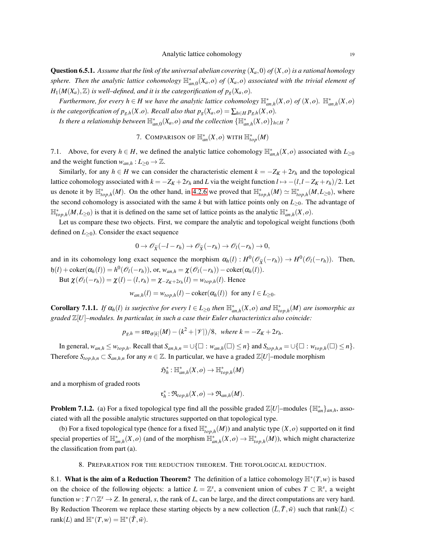<span id="page-18-0"></span>**Question 6.5.1.** Assume that the link of the universal abelian covering  $(X_a,0)$  of  $(X, o)$  is a rational homology *sphere. Then the analytic lattice cohomology*  $\mathbb{H}_{an,0}^*(X_a,o)$  *of*  $(X_a,o)$  *associated with the trivial element of*  $H_1(M(X_a), \mathbb{Z})$  *is well–defined, and it is the categorification of*  $p_g(X_a, o)$ *.* 

*Furthermore, for every*  $h \in H$  *we have the analytic lattice cohomology*  $\mathbb{H}_{an,h}^*(X, o)$  of  $(X, o)$ .  $\mathbb{H}_{an,h}^*(X, o)$ *is the categorification of*  $p_{g,h}(X, o)$ *. Recall also that*  $p_g(X_a, o) = \sum_{h \in H} p_{g,h}(X, o)$ *.* 

*Is there a relationship between*  $\mathbb{H}^*_{an,0}(X_a, o)$  *and the collection*  $\{\mathbb{H}^*_{an,h}(X, o)\}_{h\in H}$  ?

7. COMPARISON OF  $\mathbb{H}^*_{an}(X, o)$  with  $\mathbb{H}^*_{top}(M)$ 

7.1. Above, for every  $h \in H$ , we defined the analytic lattice cohomology  $\mathbb{H}_{an,h}^*(X, o)$  associated with  $L_{\geq 0}$ and the weight function  $w_{an,h}: L_{\geq 0} \to \mathbb{Z}$ .

Similarly, for any  $h \in H$  we can consider the characteristic element  $k = -Z_K + 2r_h$  and the topological lattice cohomology associated with  $k = -Z_K + 2r_h$  and *L* via the weight function  $l \mapsto -(l, l - Z_K + r_h)/2$ . Let us denote it by  $\mathbb{H}^*_{top,h}(M)$ . On the other hand, in [4.2.6](#page-6-2) we proved that  $\mathbb{H}^*_{top,h}(M) \simeq \mathbb{H}^*_{top,h}(M, L_{\geq 0})$ , where the second cohomology is associated with the same  $k$  but with lattice points only on  $L_{\geq 0}$ . The advantage of  $\mathbb{H}_{top,h}^*(M,L_{\geq 0})$  is that it is defined on the same set of lattice points as the analytic  $\mathbb{H}_{an,h}^*(X,o)$ .

Let us compare these two objects. First, we compare the analytic and topological weight functions (both defined on  $L_{\geq 0}$ ). Consider the exact sequence

$$
0\to \mathscr{O}_{\widetilde{X}}(-l-r_h)\to \mathscr{O}_{\widetilde{X}}(-r_h)\to \mathscr{O}_l(-r_h)\to 0,
$$

and in its cohomology long exact sequence the morphism  $\alpha_h(l) : H^0(\mathcal{O}_{\tilde{X}}(-r_h)) \to H^0(\mathcal{O}_l(-r_h))$ . Then,  $h(t) + \text{coker}(\alpha_h(t)) = h^0(\mathcal{O}_l(-r_h)), \text{ or, } w_{an,h} = \chi(\mathcal{O}_l(-r_h)) - \text{coker}(\alpha_h(t)).$ 

But  $\chi(\mathcal{O}_l(-r_h)) = \chi(l) - (l, r_h) = \chi_{-Z_K+2r_h}(l) = w_{top,h}(l)$ . Hence

 $w_{an,h}(l) = w_{top,h}(l) - \text{coker}(\alpha_h(l))$  for any  $l \in L_{\geq 0}$ .

**Corollary 7.1.1.** If  $\alpha_h(l)$  is surjective for every  $l \in L_{\geq 0}$  then  $\mathbb{H}_{an,h}^*(X,o)$  and  $\mathbb{H}_{top,h}^*(M)$  are isomorphic as *graded* Z[*U*]*–modules. In particular, in such a case their Euler characteristics also coincide:*

$$
p_{g,h} = \mathfrak{sw}_{\sigma[k]}(M) - (k^2 + |\mathcal{V}|)/8, \text{ where } k = -Z_K + 2r_h.
$$

In general,  $w_{an,h} \leq w_{top,h}$ . Recall that  $S_{an,h,n} = \bigcup \{ \square : w_{an,h}(\square) \leq n \}$  and  $S_{top,h,n} = \bigcup \{ \square : w_{top,h}(\square) \leq n \}$ . Therefore  $S_{top,h,n} \subset S_{an,h,n}$  for any  $n \in \mathbb{Z}$ . In particular, we have a graded  $\mathbb{Z}[U]$ –module morphism

$$
\mathfrak{H}^*_h: \mathbb{H}^*_{an,h}(X,o) \to \mathbb{H}^*_{top,h}(M)
$$

and a morphism of graded roots

$$
\mathfrak{r}_h^*: \mathfrak{R}_{top,h}(X,o) \to \mathfrak{R}_{an,h}(M).
$$

**Problem 7.1.2.** (a) For a fixed topological type find all the possible graded  $\mathbb{Z}[U]$ -modules  $\{\mathbb{H}_{an}^*\}_{an,h}$ , associated with all the possible analytic structures supported on that topological type.

(b) For a fixed topological type (hence for a fixed  $\mathbb{H}_{top,h}^*(M)$ ) and analytic type  $(X, o)$  supported on it find special properties of  $\mathbb{H}_{an,h}^*(X, o)$  (and of the morphism  $\mathbb{H}_{an,h}^*(X, o) \to \mathbb{H}_{top,h}^*(M)$ ), which might characterize the classification from part (a).

## 8. PREPARATION FOR THE REDUCTION THEOREM. THE TOPOLOGICAL REDUCTION.

8.1. What is the aim of a Reduction Theorem? The definition of a lattice cohomology  $\mathbb{H}^*(T,w)$  is based on the choice of the following objects: a lattice  $L = \mathbb{Z}^s$ , a convenient union of cubes  $T \subset \mathbb{R}^s$ , a weight function  $w: T \cap \mathbb{Z}^s \to Z$ . In general, *s*, the rank of *L*, can be large, and the direct computations are very hard. By Reduction Theorem we replace these starting objects by a new collection  $(\bar{L}, \bar{T}, \bar{w})$  such that rank( $\bar{L}$ ) < rank(*L*) and  $\mathbb{H}^*(T, w) = \mathbb{H}^*(\bar{T}, \bar{w})$ .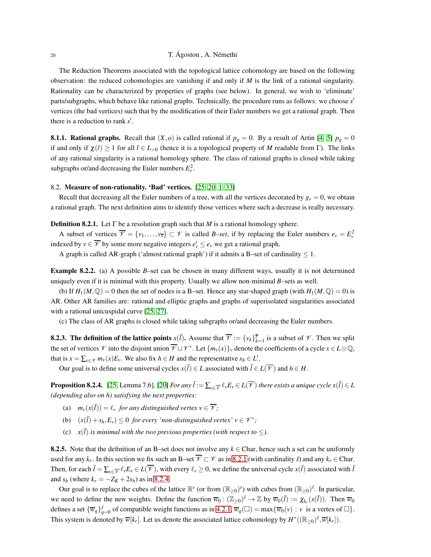# 20 T. Ágoston , A. Némethi

The Reduction Theorems associated with the topological lattice cohomology are based on the following observation: the reduced cohomologies are vanishing if and only if *M* is the link of a rational singularity. Rationality can be characterized by properties of graphs (see below). In general, we wish to 'eliminate' parts/subgraphs, which behave like rational graphs. Technically, the procedure runs as follows: we choose *s* ′ vertices (the bad vertices) such that by the modification of their Euler numbers we get a rational graph. Then there is a reduction to rank *s* ′ .

**8.1.1. Rational graphs.** Recall that  $(X, o)$  is called rational if  $p_g = 0$ . By a result of Artin [\[4,](#page-21-14) [5\]](#page-21-15)  $p_g = 0$ if and only if  $\chi(l) \ge 1$  for all  $l \in L_{>0}$  (hence it is a topological property of *M* readable from Γ). The links of any rational singularity is a rational homology sphere. The class of rational graphs is closed while taking subgraphs or/and decreasing the Euler numbers  $E_v^2$ .

#### <span id="page-19-2"></span>8.2. Measure of non-rationality. 'Bad' vertices. [\[25,](#page-22-0) [20,](#page-22-14) [1,](#page-21-6) [33\]](#page-22-21)

Recall that decreasing all the Euler numbers of a tree, with all the vertices decorated by  $g_y = 0$ , we obtain a rational graph. The next definition aims to identify those vertices where such a decrease is really necessary.

<span id="page-19-0"></span>**Definition 8.2.1.** Let  $\Gamma$  be a resolution graph such that *M* is a rational homology sphere.

A subset of vertices  $\overline{\mathscr{V}} = \{v_1, \ldots, v_{\overline{s}}\} \subset \mathscr{V}$  is called *B–set*, if by replacing the Euler numbers  $e_v = E_v^2$ indexed by  $v \in \overline{\mathcal{V}}$  by some more negative integers  $e'_v \leq e_v$  we get a rational graph.

A graph is called AR-graph ('almost rational graph') if it admits a B–set of cardinality  $\leq 1$ .

Example 8.2.2. (a) A possible *B*–set can be chosen in many different ways, usually it is not determined uniquely even if it is minimal with this property. Usually we allow non-minimal *B*–sets as well.

(b) If  $H_1(M, \mathbb{Q}) = 0$  then the set of nodes is a B-set. Hence any star-shaped graph (with  $H_1(M, \mathbb{Q}) = 0$ ) is AR. Other AR families are: rational and elliptic graphs and graphs of superisolated singularities associated with a rational unicuspidal curve [\[25,](#page-22-0) [27\]](#page-22-1).

(c) The class of AR graphs is closed while taking subgraphs or/and decreasing the Euler numbers.

**8.2.3. The definition of the lattice points**  $x(\bar{l})$ . Assume that  $\overline{\mathscr{V}} := \{v_k\}_{k=1}^{\overline{s}}$  is a subset of  $\mathscr{V}$ . Then we split the set of vertices  $\mathscr V$  into the disjoint union  $\overline{\mathscr V}\sqcup\mathscr V^*$ . Let  $\{m_v(x)\}_v$  denote the coefficients of a cycle  $x\in L\otimes\mathbb Q,$ that is  $x = \sum_{v \in \mathcal{V}} m_v(x) E_v$ . We also fix  $h \in H$  and the representative  $s_h \in L'$ .

Our goal is to define some universal cycles  $x(\bar{l}) \in L$  associated with  $\bar{l} \in L(\overline{\mathcal{V}})$  and  $h \in H$ .

<span id="page-19-1"></span>**Proposition 8.2.4.** [\[25,](#page-22-0) Lemma 7.6], [\[20\]](#page-22-14) *For any*  $\bar{l} := \sum_{v \in \overline{\mathscr{V}}} \ell_v E_v \in L(\overline{\mathscr{V}})$  *there exists a unique cycle*  $x(\bar{l}) \in L$ *(depending also on h) satisfying the next properties:*

- (a)  $m_v(x(\overline{I})) = \ell_v$  *for any distinguished vertex*  $v \in \overline{\mathcal{V}}$ *;*
- (b)  $(x(\bar{l}) + s_h, E_v) \leq 0$  *for every 'non-distinguished vertex'*  $v \in \mathcal{V}^*$ ;
- (c)  $x(\overline{l})$  *is minimal with the two previous properties (with respect to*  $\leq$ ).

8.2.5. Note that the definition of an B–set does not involve any  $k \in \text{Char}$ , hence such a set can be uniformly used for any  $k_r$ . In this section we fix such an B–set  $\overline{V} \subset V$  as in [8.2.1](#page-19-0) (with cardinality  $\bar{s}$ ) and any  $k_r \in$  Char. Then, for each  $\bar{l} = \sum_{v \in \mathcal{V}} \ell_v E_v \in L(\mathcal{V})$ , with every  $\ell_v \geq 0$ , we define the universal cycle  $x(\bar{l})$  associated with  $\bar{l}$ and  $s_h$  (where  $k_r = -Z_K + 2s_h$ ) as in [8.2.4.](#page-19-1)

Our goal is to replace the cubes of the lattice  $\mathbb{R}^s$  (or from  $(\mathbb{R}_{\geq 0})^s$ ) with cubes from  $(\mathbb{R}_{\geq 0})^s$ . In particular, we need to define the new weights. Define the function  $\overline{w}_0 : (\mathbb{Z}_{\geq 0})^{\overline{s}} \to \mathbb{Z}$  by  $\overline{w}_0(\overline{l}) := \chi_{k_r}(x(\overline{l}))$ . Then  $\overline{w}_0$ defines a set  ${\overline{w}_q}_{q=0}^{\overline{s}}$  of compatible weight functions as in [4.2.1,](#page-5-0)  $\overline{w}_q(\square) = \max{\overline{w}_0(v) : v \text{ is a vertex of } \square}$ . This system is denoted by  $\overline{w}[k_r]$ . Let us denote the associated lattice cohomology by  $H^*((\mathbb{R}_{\geq 0})^{\overline{s}}, \overline{w}[k_r])$ .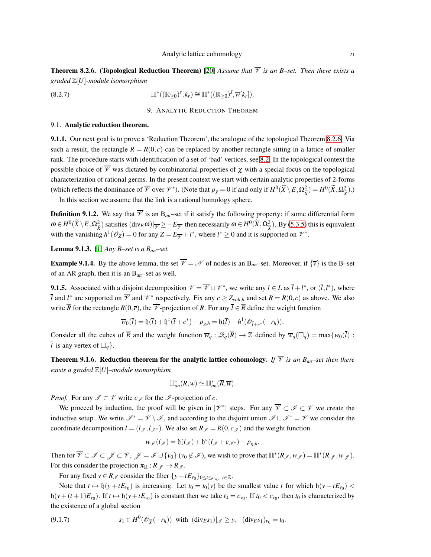<span id="page-20-0"></span>**Theorem 8.2.6.** (Topological Reduction Theorem) [\[20\]](#page-22-14) *Assume that*  $\overline{\mathcal{V}}$  *is an B–set. Then there exists a graded* Z[*U*]*-module isomorphism*

$$
(\mathbf{8.2.7}) \quad \mathbb{H}^*( (\mathbb{R}_{\geq 0})^s, k_r) \cong \mathbb{H}^*( (\mathbb{R}_{\geq 0})^{\bar{s}}, \overline{w}[k_r]).
$$

9. ANALYTIC REDUCTION THEOREM

#### 9.1. Analytic reduction theorem.

9.1.1. Our next goal is to prove a 'Reduction Theorem', the analogue of the topological Theorem [8.2.6.](#page-20-0) Via such a result, the rectangle  $R = R(0, c)$  can be replaced by another rectangle sitting in a lattice of smaller rank. The procedure starts with identification of a set of 'bad' vertices, see [8.2.](#page-19-2) In the topological context the possible choice of  $\overline{\mathscr{V}}$  was dictated by combinatorial properties of  $\chi$  with a special focus on the topological characterization of rational germs. In the present context we start with certain analytic properties of 2-forms (which reflects the dominance of  $\overline{\mathscr{V}}$  over  $\mathscr{V}^*$ ). (Note that  $p_g = 0$  if and only if  $H^0(\widetilde{X} \setminus E, \Omega_{\widetilde{X}}^2) = H^0(\widetilde{X}, \Omega_{\widetilde{X}}^2)$ .)

In this section we assume that the link is a rational homology sphere.

**Definition 9.1.2.** We say that  $\overline{\mathscr{V}}$  is an B<sub>an</sub>–set if it satisfy the following property: if some differential form  $\omega \in H^0(\widetilde{X} \setminus E, \Omega_{\widetilde{X}}^2)$  satisfies  $(\text{div}_E \omega)|_{\overline{Y}} \ge -E_{\overline{Y}}$  then necessarily  $\omega \in H^0(\widetilde{X}, \Omega_{\widetilde{X}}^2)$ . By [\(5.3.5\)](#page-9-1) this is equivalent with the vanishing  $h^1(\mathcal{O}_Z) = 0$  for any  $Z = E_{\overline{\mathcal{V}}} + l^*$ , where  $l^* \ge 0$  and it is supported on  $\mathcal{V}^*$ .

Lemma 9.1.3. [\[1\]](#page-21-6) *Any B–set is a Ban–set.*

**Example 9.1.4.** By the above lemma, the set  $\overline{\mathcal{V}} = \mathcal{N}$  of nodes is an B<sub>an</sub>–set. Moreover, if  $\{\overline{v}\}\$ is the B–set of an AR graph, then it is an B*an*–set as well.

**9.1.5.** Associated with a disjoint decomposition  $\mathcal{V} = \overline{\mathcal{V}} \sqcup \mathcal{V}^*$ , we write any  $l \in L$  as  $\overline{l} + l^*$ , or  $(\overline{l}, l^*)$ , where *l* and *l*<sup>\*</sup> are supported on  $\overline{V}$  and  $\mathcal{V}$ <sup>\*</sup> respectively. Fix any  $c \ge Z_{coh,h}$  and set  $R = R(0,c)$  as above. We also write  $\overline{R}$  for the rectangle  $R(0,\overline{c})$ , the  $\overline{\mathscr{V}}$ -projection of *R*. For any  $\overline{l} \in \overline{R}$  define the weight function

$$
\overline{w}_0(\overline{l}) = \mathfrak{h}(\overline{l}) + \mathfrak{h}^{\circ}(\overline{l} + c^*) - p_{g,h} = \mathfrak{h}(\overline{l}) - h^1(\mathscr{O}_{\overline{l} + c^*}(-r_h)).
$$

Consider all the cubes of  $\overline{R}$  and the weight function  $\overline{w}_q : \mathcal{Q}_q(\overline{R}) \to \mathbb{Z}$  defined by  $\overline{w}_q(\square_q) = \max\{w_0(\overline{l}) :$  $\overline{l}$  is any vertex of  $\Box_a$ .

**Theorem 9.1.6. Reduction theorem for the analytic lattice cohomology.** *If*  $\overline{\mathcal{V}}$  *is an B<sub>an</sub>–set then there exists a graded* Z[*U*]*–module isomorphism*

$$
\mathbb{H}_{an}^*(R,w)\simeq \mathbb{H}_{an}^*(\overline{R},\overline{w}).
$$

*Proof.* For any  $\mathcal{I} \subset \mathcal{V}$  write  $c_{\mathcal{I}}$  for the  $\mathcal{I}$ -projection of *c*.

We proceed by induction, the proof will be given in  $|\mathcal{V}^*|$  steps. For any  $\overline{\mathcal{V}} \subset \mathcal{I} \subset \mathcal{V}$  we create the inductive setup. We write  $\mathscr{I}^* = \mathscr{V} \setminus \mathscr{I}$ , and according to the disjoint union  $\mathscr{I} \sqcup \mathscr{I}^* = \mathscr{V}$  we consider the coordinate decomposition  $l = (l_{\mathcal{I}}, l_{\mathcal{I}})$ . We also set  $R_{\mathcal{I}} = R(0, c_{\mathcal{I}})$  and the weight function

$$
w_{\mathscr{I}}(l_{\mathscr{I}}) = \mathfrak{h}(l_{\mathscr{I}}) + \mathfrak{h}^{\circ}(l_{\mathscr{I}} + c_{\mathscr{I}^*}) - p_{g,h}.
$$

Then for  $\overline{\mathcal{V}} \subset \mathcal{I} \subset \mathcal{V}$ ,  $\mathcal{J} = \mathcal{I} \cup \{v_0\}$   $(v_0 \notin \mathcal{I})$ , we wish to prove that  $\mathbb{H}^*(R_{\mathcal{J}}, w_{\mathcal{J}}) = \mathbb{H}^*(R_{\mathcal{J}}, w_{\mathcal{J}})$ . For this consider the projection  $\pi_{\mathbb{R}} : R \downarrow \rightarrow R \downarrow$ .

For any fixed  $y \in R_{\mathscr{I}}$  consider the fiber  $\{y + tE_{v_0}\}_{0 \le t \le c_{v_0}, t \in \mathbb{Z}}$ .

Note that  $t \mapsto \mathfrak{h}(y + tE_{v_0})$  is increasing. Let  $t_0 = t_0(y)$  be the smallest value  $t$  for which  $\mathfrak{h}(y + tE_{v_0})$  <  $h(y + (t+1)E_{v_0})$ . If  $t \mapsto h(y + tE_{v_0})$  is constant then we take  $t_0 = c_{v_0}$ . If  $t_0 < c_{v_0}$ , then  $t_0$  is characterized by the existence of a global section

(9.1.7) 
$$
s_1 \in H^0(\mathscr{O}_{\widetilde{X}}(-r_h))
$$
 with  $(div_E s_1)|_{\mathscr{I}} \geq y$ ,  $(div_E s_1)_{v_0} = t_0$ .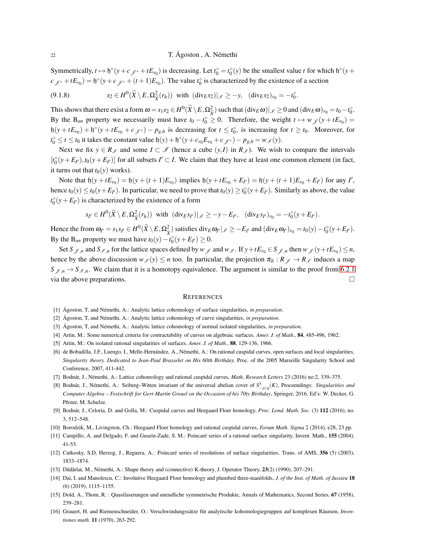Symmetrically,  $t \mapsto \phi^{\circ}(y + c \, y^* + tE_{\nu_0})$  is decreasing. Let  $t_0^{\circ} = t_0^{\circ}(y)$  be the smallest value *t* for which  $\phi^{\circ}(y + c \, y^*)$  $c_{\mathscr{J}^*} + tE_{\nu_0}$  =  $\mathfrak{h}^{\circ}(\mathfrak{y} + c_{\mathscr{J}^*} + (t+1)E_{\nu_0})$ . The value  $t_0^{\circ}$  is characterized by the existence of a section

$$
(9.1.8) \t\t s2 \in H0(\widetilde{X} \setminus E, \Omega_{\widetilde{X}}^2(r_h)) \t with \t (divEs2)|_{\mathscr{I}} \geq -y, \t (divEs2)v0 = -t0o.
$$

This shows that there exist a form  $\omega = s_1 s_2 \in H^0(\widetilde{X} \setminus E, \Omega_{\widetilde{X}}^2)$  such that  $(\text{div}_E \omega)|_{\mathscr{I}} \geq 0$  and  $(\text{div}_E \omega)_{v_0} = t_0 - t_0^{\circ}$ . By the B<sub>an</sub> property we necessarily must have  $t_0 - t_0^{\circ} \ge 0$ . Therefore, the weight  $t \mapsto w_{\mathscr{J}}(y + tE_{v_0}) =$  $h(y + tE_{\nu_0}) + h^{\circ}(y + tE_{\nu_0} + c_{\mathscr{J}^*}) - p_{g,h}$  is decreasing for  $t \le t_0$ , is increasing for  $t \ge t_0$ . Moreover, for *t*<sup>○</sup>
6 ≤ *t* ≤ *t*<sup>0</sup> it takes the constant value  $\mathfrak{h}(y) + \mathfrak{h}^{\circ}(y + c_{v_0}E_{v_0} + c_{\mathscr{J}^*}) - p_{g,h} = w_{\mathscr{I}}(y)$ .

Next we fix  $y \in R_{\mathscr{I}}$  and some  $I \subset \mathscr{I}$  (hence a cube  $(y, I)$  in  $R_{\mathscr{I}}$ ). We wish to compare the intervals  $[t_0^{\circ}(y + E_{I'}, t_0(y + E_{I'})]$  for all subsets  $I' \subset I$ . We claim that they have at least one common element (in fact, it turns out that  $t_0(y)$  works).

Note that  $\mathfrak{h}(y + t E_{v_0}) = \mathfrak{h}(y + (t+1)E_{v_0})$  implies  $\mathfrak{h}(y + t E_{v_0} + E_{l'}) = \mathfrak{h}(y + (t+1)E_{v_0} + E_{l'})$  for any  $l'$ , hence  $t_0(y) \le t_0(y + E_{I'})$ . In particular, we need to prove that  $t_0(y) \ge t_0^{\circ}(y + E_{I'})$ . Similarly as above, the value  $t_0^{\circ}(y + E_I)$  is characterized by the existence of a form

$$
s_{I'} \in H^0(\widetilde{X} \setminus E, \Omega_{\widetilde{X}}^2(r_h)) \text{ with } (\text{div}_E s_{I'})|_{\mathscr{I}} \geq -y - E_{I'}, \quad (\text{div}_E s_{I'})_{v_0} = -t_0^{\circ}(y + E_{I'}).
$$

Hence the from  $\omega_{I'} = s_1 s_{I'} \in H^0(\widetilde{X} \setminus E, \Omega_{\widetilde{X}}^2)$  satisfies  $\text{div}_E \omega_{I'}|_{\mathscr{I}} \ge -E_{I'}$  and  $(\text{div}_E \omega_{I'})_{v_0} = t_0(y) - t_0^{\circ}(y + E_{I'}).$ By the B<sub>an</sub> property we must have  $t_0(y) - t_0^o(y + E_F) \ge 0$ .

Set *S*<sub>J</sub><sub>*,n*</sub> and *S*<sub>J</sub><sub>*,n*</sub> for the lattice spaces defined by *w*<sub>J</sub> and *w*<sub>J</sub>. If  $y + tE_{v_0} \in S_{J,n}$  then  $w_{J}(y + tE_{v_0}) \le n$ , hence by the above discussion  $w_J(y) \le n$  too. In particular, the projection  $\pi_{\mathbb{R}} : R_J \to R_J$  induces a map  $S_{\mathscr{J},n} \to S_{\mathscr{I},n}$ . We claim that it is a homotopy equivalence. The argument is similar to the proof from [6.2.1](#page-18-0) via the above preparations.  $\Box$ 

#### **REFERENCES**

- <span id="page-21-7"></span><span id="page-21-6"></span>[1] Ágoston, T, and Némethi, A.: Analytic lattice cohomology of surface singularities, *in preparation*.
- <span id="page-21-8"></span>[2] Ágoston, T, and Némethi, A.: Analytic lattice cohomology of curve singularities, *in preparation*.
- <span id="page-21-14"></span>[3] Ágoston, T, and Némethi, A.: Analytic lattice cohomology of normal isolated singularities, *in preparation*.
- <span id="page-21-15"></span>[4] Artin, M.: Some numerical criteria for contractability of curves on algebraic surfaces. *Amer. J. of Math.*, 84, 485-496, 1962.
- <span id="page-21-0"></span>[5] Artin, M.: On isolated rational singularities of surfaces. *Amer. J. of Math.*, 88, 129-136, 1966.
- [6] de Bobadilla, J.F., Luengo, I., Melle-Hernández, A., Némethi, A.: On rational cuspidal curves, open surfaces and local singularities, *Singularity theory, Dedicated to Jean-Paul Brasselet on His 60th Birthday,* Proc. of the 2005 Marseille Singularity School and Conference, 2007, 411-442.
- <span id="page-21-2"></span><span id="page-21-1"></span>[7] Bodnár, J., Némethi, A.: Lattice cohomology and rational cuspidal curves, *Math. Research Letters* 23 (2016) no:2, 339–375.
- [8] Bodnár, J., Némethi, A.: Seiberg–Witten invariant of the universal abelian cover of  $S^3_{-p/q}(K)$ , Proceendings: *Singularities and Computer Algebra – Festschrift for Gert-Martin Greuel on the Occasion of his 70ty Birthday*, Springer, 2016, Ed's: W. Decker, G. Pfister, M. Schulze.
- <span id="page-21-4"></span><span id="page-21-3"></span>[9] Bodnár, J., Celoria, D. and Golla, M.: Cuspidal curves and Heegaard Floer homology, *Proc. Lond. Math. Soc.* (3) 112 (2016), no. 3, 512–548.
- <span id="page-21-9"></span>[10] Borodzik, M., Livingston, Ch.: Heegaard Floer homology and rational cuspidal curves, *Forum Math. Sigma* 2 (2014), e28, 23 pp.
- <span id="page-21-10"></span>[11] Campillo, A. and Delgado, F. and Gusein-Zade, S. M.: Poincaré series of a rational surface singularity, Invent. Math., 155 (2004), 41-53.
- <span id="page-21-13"></span>[12] Cutkosky, S.D, Herzog, J., Reguera, A.: Poincaré series of resolutions of surface singularities, Trans. of AMS, 356 (5) (2003), 1833–1874.
- <span id="page-21-5"></span>[13] Dădărlat, M., Némethi, A.: Shape theory and (connective) K-theory, J. Operator Theory, 23(2) (1990), 207–291.
- [14] Dai, I. and Manolescu, C.: Involutive Heegaard Floer homology and plumbed three-manifolds, *J. of the Inst. of Math. of Jussieu* 18 (6) (2019), 1115–1155.
- <span id="page-21-12"></span><span id="page-21-11"></span>[15] Dold, A., Thom, R. : Quasifaserungen und unendliche symmetrische Produkte, Annals of Mathematics, Second Series, 67 (1958), 239–281.
- [16] Grauert, H. and Riemenschneider, O.: Verschwindungssätze für analytische kohomologiegruppen auf komplexen Räumen, *Inventiones math.* 11 (1970), 263-292.